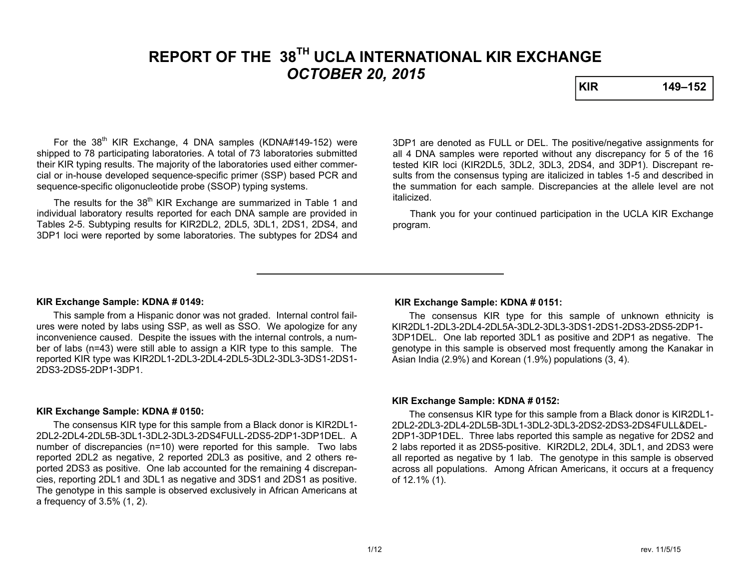# **REPORT OF THE 38TH UCLA INTERNATIONAL KIR EXCHANGE**  *OCTOBER 20, 2015*

**KIR 149–152** 

For the 38<sup>th</sup> KIR Exchange, 4 DNA samples (KDNA#149-152) were shipped to 78 participating laboratories. A total of 73 laboratories submitted their KIR typing results. The majority of the laboratories used either commercial or in-house developed sequence-specific primer (SSP) based PCR and sequence-specific oligonucleotide probe (SSOP) typing systems.

The results for the 38<sup>th</sup> KIR Exchange are summarized in Table 1 and individual laboratory results reported for each DNA sample are provided in Tables 2-5. Subtyping results for KIR2DL2, 2DL5, 3DL1, 2DS1, 2DS4, and 3DP1 loci were reported by some laboratories. The subtypes for 2DS4 and 3DP1 are denoted as FULL or DEL. The positive/negative assignments for all 4 DNA samples were reported without any discrepancy for 5 of the 16 tested KIR loci (KIR2DL5, 3DL2, 3DL3, 2DS4, and 3DP1). Discrepant results from the consensus typing are italicized in tables 1-5 and described in the summation for each sample. Discrepancies at the allele level are not italicized.

 Thank you for your continued participation in the UCLA KIR Exchange program.

#### **KIR Exchange Sample: KDNA # 0149:**

 This sample from a Hispanic donor was not graded. Internal control failures were noted by labs using SSP, as well as SSO. We apologize for any inconvenience caused. Despite the issues with the internal controls, a number of labs (n=43) were still able to assign a KIR type to this sample. The reported KIR type was KIR2DL1-2DL3-2DL4-2DL5-3DL2-3DL3-3DS1-2DS1- 2DS3-2DS5-2DP1-3DP1.

#### **KIR Exchange Sample: KDNA # 0150:**

 The consensus KIR type for this sample from a Black donor is KIR2DL1- 2DL2-2DL4-2DL5B-3DL1-3DL2-3DL3-2DS4FULL-2DS5-2DP1-3DP1DEL. A number of discrepancies (n=10) were reported for this sample. Two labs reported 2DL2 as negative, 2 reported 2DL3 as positive, and 2 others reported 2DS3 as positive. One lab accounted for the remaining 4 discrepancies, reporting 2DL1 and 3DL1 as negative and 3DS1 and 2DS1 as positive. The genotype in this sample is observed exclusively in African Americans at a frequency of 3.5% (1, 2).

### **KIR Exchange Sample: KDNA # 0151:**

 The consensus KIR type for this sample of unknown ethnicity is KIR2DL1-2DL3-2DL4-2DL5A-3DL2-3DL3-3DS1-2DS1-2DS3-2DS5-2DP1-3DP1DEL. One lab reported 3DL1 as positive and 2DP1 as negative. The genotype in this sample is observed most frequently among the Kanakar in Asian India (2.9%) and Korean (1.9%) populations (3, 4).

#### **KIR Exchange Sample: KDNA # 0152:**

The consensus KIR type for this sample from a Black donor is KIR2DL1- 2DL2-2DL3-2DL4-2DL5B-3DL1-3DL2-3DL3-2DS2-2DS3-2DS4FULL&DEL-2DP1-3DP1DEL. Three labs reported this sample as negative for 2DS2 and 2 labs reported it as 2DS5-positive. KIR2DL2, 2DL4, 3DL1, and 2DS3 were all reported as negative by 1 lab. The genotype in this sample is observed across all populations. Among African Americans, it occurs at a frequency of 12.1% (1).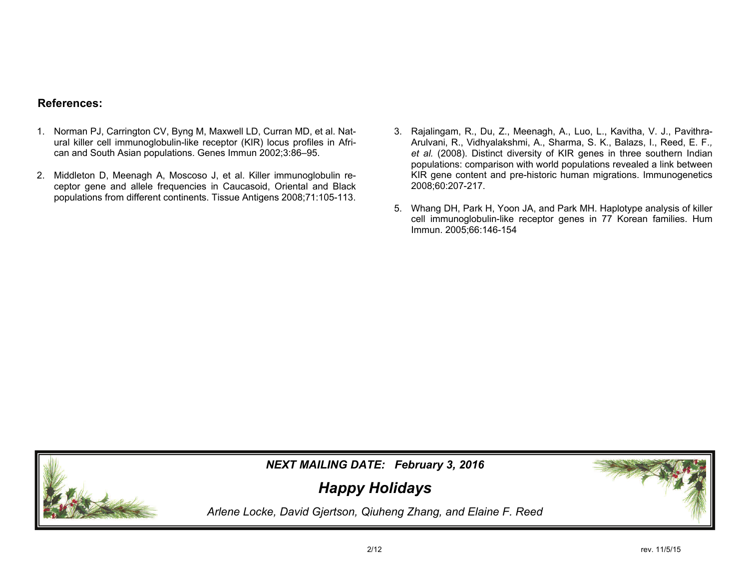## **References:**

- 1. Norman PJ, Carrington CV, Byng M, Maxwell LD, Curran MD, et al. Natural killer cell immunoglobulin-like receptor (KIR) locus profiles in African and South Asian populations. Genes Immun 2002;3:86–95.
- 2. Middleton D, Meenagh A, Moscoso J, et al. Killer immunoglobulin receptor gene and allele frequencies in Caucasoid, Oriental and Black populations from different continents. Tissue Antigens 2008;71:105-113.
- 3. Rajalingam, R., Du, Z., Meenagh, A., Luo, L., Kavitha, V. J., Pavithra-Arulvani, R., Vidhyalakshmi, A., Sharma, S. K., Balazs, I., Reed, E. F.*, et al.* (2008). Distinct diversity of KIR genes in three southern Indian populations: comparison with world populations revealed a link between KIR gene content and pre-historic human migrations. Immunogenetics 2008;60:207-217.
- 5. Whang DH, Park H, Yoon JA, and Park MH. Haplotype analysis of killer cell immunoglobulin-like receptor genes in 77 Korean families. Hum Immun. 2005;66:146-154



*NEXT MAILING DATE: February 3, 2016* 

*Happy Holidays*

*Arlene Locke, David Gjertson, Qiuheng Zhang, and Elaine F. Reed*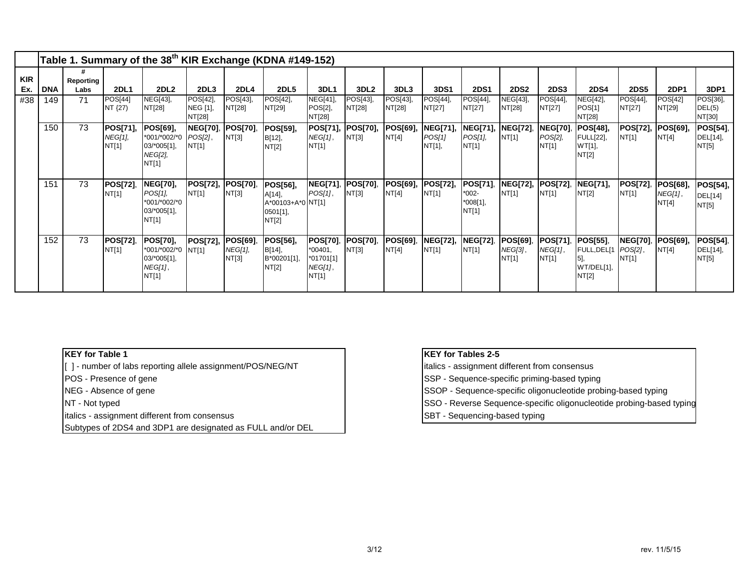|                   |            |                   |                              |                                                                      |                                    |                                      | Table 1. Summary of the 38 <sup>th</sup> KIR Exchange (KDNA #149-152) |                                                        |                          |                    |                              |                                          |                              |                                     |                                                        |                                     |                                     |                                            |
|-------------------|------------|-------------------|------------------------------|----------------------------------------------------------------------|------------------------------------|--------------------------------------|-----------------------------------------------------------------------|--------------------------------------------------------|--------------------------|--------------------|------------------------------|------------------------------------------|------------------------------|-------------------------------------|--------------------------------------------------------|-------------------------------------|-------------------------------------|--------------------------------------------|
| <b>KIR</b><br>Ex. | <b>DNA</b> | Reporting<br>Labs | <b>2DL1</b>                  | 2DL <sub>2</sub>                                                     | 2DL <sub>3</sub>                   | 2DL <sub>4</sub>                     | <b>2DL5</b>                                                           | 3DL1                                                   | 3DL <sub>2</sub>         | 3DL3               | 3DS1                         | <b>2DS1</b>                              | <b>2DS2</b>                  | <b>2DS3</b>                         | <b>2DS4</b>                                            | <b>2DS5</b>                         | <b>2DP1</b>                         | 3DP1                                       |
| #38               | 149        | 71                | POS[44]<br>NT {27)           | NEG[43],<br>NT[28]                                                   | POS[42],<br>NEG [1],<br>NT[28]     | POS[43],<br>NT[28]                   | POS[42],<br>NT[29]                                                    | NEG[41],<br>POS[2],<br>NT[28]                          | POS[43],<br>NT[28]       | POS[43],<br>NT[28] | POS[44],<br>NT[27]           | POS[44],<br>NT[27]                       | NEG[43],<br>NT[28]           | POS[44],<br>NT[27]                  | NEG[42],<br>POS[1]<br>NT[28]                           | POS[44],<br>NT[27]                  | POS[42]<br>NT[29]                   | POS[36],<br>DEL(5)<br>NT[30]               |
|                   | 150        | 73                | POS[71],<br>NEG[1],<br>NT[1] | POS[69],<br>*001/*002/*0<br>03/*005[1],<br>NEG[2],<br>NT[1]          | <b>NEG[70]</b><br>POS[2],<br>NT[1] | POS[70],<br>NT[3]                    | <b>POS[59],</b><br>B[12],<br>NT[2]                                    | POS[71],<br>NEG[1],<br>NT[1]                           | <b>POS[70],</b><br>NT[3] | POS[69],<br>NT[4]  | NEG[71],<br>POS[1]<br>NT[1], | <b>NEG[71],</b><br>POS[1],<br>NT[1]      | <b>NEG[72]</b> ,<br>NT[1]    | <b>NEG[70],</b><br>POS[2],<br>NT[1] | <b>POS[48],</b><br><b>FULL[22],</b><br>WT[1],<br>NT[2] | POS[72],<br>NT[1]                   | POS[69],<br>NT[4]                   | <b>POS[54]</b> ,<br>DEL[14],<br>NT[5]      |
|                   | 151        | 73                | POS[72],<br>NT[1]            | <b>NEG[70],</b><br>POS[1],<br>*001/*002/*0<br>$03/*005[1],$<br>NT[1] | POS[72], POS[70],<br>NT[1]         | NT[3]                                | POS[56],<br>A[14],<br>A*00103+A*0 NT[1]<br>0501[1],<br>NT[2]          | <b>NEG[71]</b><br>POS[1],                              | <b>POS[70],</b><br>NT[3] | POS[69],<br>NT[4]  | POS[72],<br>NT[1]            | POS[71],<br>$*002-$<br>*008[1],<br>NT[1] | <b>NEG[72],</b><br>NT[1]     | <b>POS[72]</b><br>NT[1]             | NEG[71],<br>NT[2]                                      | <b>POS[72]</b><br>NT[1]             | <b>POS[68],</b><br>NEG[1],<br>NT[4] | <b>POS[54],</b><br><b>DEL[14]</b><br>NT[5] |
|                   | 152        | 73                | <b>POS[72],</b><br>NT[1]     | <b>POS[70],</b><br>*001/*002/*0<br>03/*005[1],<br>NEG[1],<br>NT[1]   | POS[72],<br>NT[1]                  | <b>POS[69]</b> ,<br>NEG[1],<br>NT[3] | POS[56],<br>B[14],<br>B*00201[1],<br>NT[2]                            | POS[70],<br>$*00401,$<br>*01701[1]<br>NEG[1],<br>NT[1] | <b>POS[70],</b><br>NT[3] | POS[69],<br>NT[4]  | <b>NEG[72],</b><br>NT[1]     | <b>NEG[72]</b><br>NT[1]                  | POS[69],<br>NEG[3],<br>NT[1] | <b>POS[71]</b><br>NEG[1],<br>NT[1]  | <b>POS[55]</b> ,<br>FULL, DEL[1<br>WT/DEL[1],<br>NT[2] | <b>NEG[70],</b><br>POS[2],<br>NT[1] | POS[69]<br>NT[4]                    | <b>POS[54]</b> ,<br>DEL[14],<br>NT[5]      |

## **KEY for Table 1**

[ ] - number of labs reporting allele assignment/POS/NEG/NT

POS - Presence of gene

NEG - Absence of gene

NT - Not typed

italics - assignment different from consensus

Subtypes of 2DS4 and 3DP1 are designated as FULL and/or DEL

## **KEY for Tables 2-5**

- italics assignment different from consensus
- SSP Sequence-specific priming-based typing
- SSOP Sequence-specific oligonucleotide probing-based typing
- SSO Reverse Sequence-specific oligonucleotide probing-based typing
- SBT Sequencing-based typing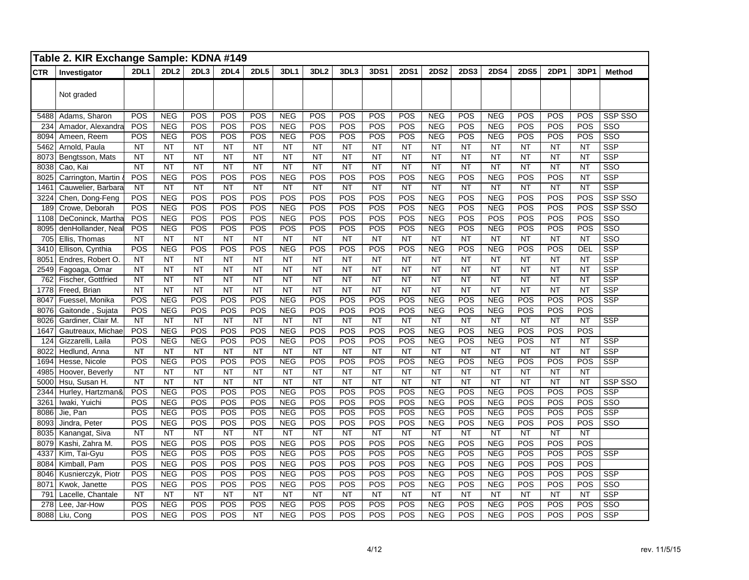|            | Table 2. KIR Exchange Sample: KDNA #149 |             |                  |                 |           |             |            |                  |           |           |             |             |             |             |             |           |                 |                         |
|------------|-----------------------------------------|-------------|------------------|-----------------|-----------|-------------|------------|------------------|-----------|-----------|-------------|-------------|-------------|-------------|-------------|-----------|-----------------|-------------------------|
| <b>CTR</b> | Investigator                            | <b>2DL1</b> | 2DL <sub>2</sub> | 2DL3            | 2DL4      | <b>2DL5</b> | 3DL1       | 3DL <sub>2</sub> | 3DL3      | 3DS1      | <b>2DS1</b> | <b>2DS2</b> | <b>2DS3</b> | <b>2DS4</b> | <b>2DS5</b> | 2DP1      | 3DP1            | <b>Method</b>           |
|            | Not graded                              |             |                  |                 |           |             |            |                  |           |           |             |             |             |             |             |           |                 |                         |
| 5488       | Adams, Sharon                           | <b>POS</b>  | <b>NEG</b>       | POS             | POS       | POS         | <b>NEG</b> | POS              | POS       | POS       | POS         | <b>NEG</b>  | POS         | NEG         | POS         | POS       | POS             | SSP SSO                 |
| 234        | Amador, Alexandra                       | POS         | <b>NEG</b>       | POS             | POS       | POS         | NEG        | POS              | POS       | POS       | POS         | <b>NEG</b>  | POS         | <b>NEG</b>  | POS         | POS       | POS             | SSO                     |
| 8094       | Ameen, Reem                             | POS         | <b>NEG</b>       | POS             | POS       | POS         | <b>NEG</b> | POS              | POS       | POS       | POS         | <b>NEG</b>  | POS         | <b>NEG</b>  | POS         | POS       | POS             | $\overline{\text{SSO}}$ |
| 5462       | Arnold, Paula                           | <b>NT</b>   | <b>NT</b>        | <b>NT</b>       | <b>NT</b> | NT          | <b>NT</b>  | <b>NT</b>        | NT        | <b>NT</b> | <b>NT</b>   | <b>NT</b>   | <b>NT</b>   | <b>NT</b>   | NT          | <b>NT</b> | <b>NT</b>       | <b>SSP</b>              |
| 8073       | Bengtsson, Mats                         | NT          | NT               | <b>NT</b>       | <b>NT</b> | <b>NT</b>   | <b>NT</b>  | <b>NT</b>        | <b>NT</b> | <b>NT</b> | <b>NT</b>   | <b>NT</b>   | NT          | <b>NT</b>   | <b>NT</b>   | <b>NT</b> | <b>NT</b>       | <b>SSP</b>              |
| 8038       | Cao, Kai                                | <b>NT</b>   | <b>NT</b>        | <b>NT</b>       | <b>NT</b> | <b>NT</b>   | <b>NT</b>  | <b>NT</b>        | <b>NT</b> | <b>NT</b> | <b>NT</b>   | <b>NT</b>   | <b>NT</b>   | <b>NT</b>   | <b>NT</b>   | <b>NT</b> | <b>NT</b>       | $\overline{\text{SSO}}$ |
| 8025       | Carrington, Martin                      | POS         | <b>NEG</b>       | POS             | POS       | POS         | <b>NEG</b> | POS              | POS       | POS       | POS         | <b>NEG</b>  | POS         | <b>NEG</b>  | POS         | POS       | <b>NT</b>       | <b>SSP</b>              |
| 1461       | Cauwelier, Barbara                      | <b>NT</b>   | <b>NT</b>        | <b>NT</b>       | <b>NT</b> | <b>NT</b>   | <b>NT</b>  | <b>NT</b>        | <b>NT</b> | <b>NT</b> | <b>NT</b>   | <b>NT</b>   | <b>NT</b>   | <b>NT</b>   | <b>NT</b>   | <b>NT</b> | <b>NT</b>       | <b>SSP</b>              |
| 3224       | Chen, Dong-Feng                         | POS         | <b>NEG</b>       | POS             | POS       | POS         | POS        | POS              | POS       | POS       | POS         | <b>NEG</b>  | POS         | <b>NEG</b>  | POS         | POS       | POS             | SSP SSO                 |
| 189        | Crowe, Deborah                          | <b>POS</b>  | <b>NEG</b>       | POS             | POS       | POS         | <b>NEG</b> | POS              | POS       | POS       | POS         | <b>NEG</b>  | POS         | <b>NEG</b>  | POS         | POS       | POS             | SSP SSO                 |
| 1108       | DeConinck, Martha                       | POS         | <b>NEG</b>       | POS             | POS       | POS         | <b>NEG</b> | POS              | POS       | POS       | POS         | <b>NEG</b>  | POS         | POS         | POS         | POS       | POS             | $\overline{\text{SSO}}$ |
| 8095       | denHollander, Neal                      | <b>POS</b>  | <b>NEG</b>       | POS             | POS       | POS         | POS        | POS              | POS       | POS       | POS         | <b>NEG</b>  | POS         | <b>NEG</b>  | POS         | POS       | POS             | SSO                     |
| 705        | Ellis, Thomas                           | <b>NT</b>   | <b>NT</b>        | <b>NT</b>       | <b>NT</b> | <b>NT</b>   | <b>NT</b>  | <b>NT</b>        | <b>NT</b> | <b>NT</b> | <b>NT</b>   | <b>NT</b>   | <b>NT</b>   | <b>NT</b>   | <b>NT</b>   | <b>NT</b> | <b>NT</b>       | $\overline{\text{SSO}}$ |
| 3410       | Ellison, Cynthia                        | POS         | <b>NEG</b>       | POS             | POS       | POS         | <b>NEG</b> | POS              | POS       | POS       | POS         | <b>NEG</b>  | POS         | <b>NEG</b>  | POS         | POS       | DEL             | <b>SSP</b>              |
| 8051       | Endres, Robert O.                       | NT          | <b>NT</b>        | $\overline{NT}$ | <b>NT</b> | <b>NT</b>   | <b>NT</b>  | <b>NT</b>        | NT        | <b>NT</b> | <b>NT</b>   | <b>NT</b>   | <b>NT</b>   | <b>NT</b>   | <b>NT</b>   | <b>NT</b> | <b>NT</b>       | <b>SSP</b>              |
| 2549       | Fagoaga, Omar                           | <b>NT</b>   | <b>NT</b>        | <b>NT</b>       | <b>NT</b> | <b>NT</b>   | <b>NT</b>  | <b>NT</b>        | <b>NT</b> | <b>NT</b> | <b>NT</b>   | <b>NT</b>   | <b>NT</b>   | <b>NT</b>   | <b>NT</b>   | <b>NT</b> | <b>NT</b>       | <b>SSP</b>              |
| 762        | Fischer, Gottfried                      | <b>NT</b>   | $\overline{NT}$  | <b>NT</b>       | <b>NT</b> | <b>NT</b>   | <b>NT</b>  | <b>NT</b>        | <b>NT</b> | <b>NT</b> | <b>NT</b>   | <b>NT</b>   | <b>NT</b>   | <b>NT</b>   | <b>NT</b>   | <b>NT</b> | <b>NT</b>       | <b>SSP</b>              |
| 1778       | Freed, Brian                            | <b>NT</b>   | NT               | <b>NT</b>       | <b>NT</b> | <b>NT</b>   | <b>NT</b>  | <b>NT</b>        | <b>NT</b> | <b>NT</b> | <b>NT</b>   | <b>NT</b>   | <b>NT</b>   | <b>NT</b>   | <b>NT</b>   | <b>NT</b> | <b>NT</b>       | <b>SSP</b>              |
| 8047       | Fuessel, Monika                         | POS         | <b>NEG</b>       | POS             | POS       | POS         | NEG        | POS              | POS       | POS       | POS         | <b>NEG</b>  | POS         | <b>NEG</b>  | POS         | POS       | POS             | <b>SSP</b>              |
| 8076       | Gaitonde, Sujata                        | POS         | <b>NEG</b>       | POS             | POS       | POS         | <b>NEG</b> | POS              | POS       | POS       | POS         | <b>NEG</b>  | POS         | <b>NEG</b>  | POS         | POS       | POS             |                         |
| 8026       | Gardiner, Clair M.                      | <b>NT</b>   | <b>NT</b>        | NT              | <b>NT</b> | <b>NT</b>   | <b>NT</b>  | <b>NT</b>        | <b>NT</b> | NT        | <b>NT</b>   | <b>NT</b>   | NT          | <b>NT</b>   | <b>NT</b>   | <b>NT</b> | <b>NT</b>       | <b>SSP</b>              |
| 1647       | Gautreaux, Michae                       | <b>POS</b>  | <b>NEG</b>       | POS             | POS       | POS         | <b>NEG</b> | POS              | POS       | POS       | POS         | <b>NEG</b>  | POS         | <b>NEG</b>  | POS         | POS       | POS             |                         |
| 124        | Gizzarelli, Laila                       | POS         | NEG              | NEG             | POS       | POS         | NEG        | POS              | POS       | POS       | POS         | NEG         | POS         | <b>NEG</b>  | POS         | <b>NT</b> | $\overline{NT}$ | <b>SSP</b>              |
| 8022       | Hedlund, Anna                           | <b>NT</b>   | <b>NT</b>        | <b>NT</b>       | <b>NT</b> | <b>NT</b>   | <b>NT</b>  | <b>NT</b>        | <b>NT</b> | <b>NT</b> | <b>NT</b>   | <b>NT</b>   | <b>NT</b>   | <b>NT</b>   | <b>NT</b>   | <b>NT</b> | <b>NT</b>       | <b>SSP</b>              |
| 1694       | Hesse, Nicole                           | POS         | <b>NEG</b>       | POS             | POS       | POS         | <b>NEG</b> | POS              | POS       | POS       | POS         | <b>NEG</b>  | POS         | <b>NEG</b>  | POS         | POS       | POS             | <b>SSP</b>              |
| 4985       | Hoover, Beverly                         | <b>NT</b>   | <b>NT</b>        | <b>NT</b>       | <b>NT</b> | <b>NT</b>   | <b>NT</b>  | <b>NT</b>        | NT        | NT        | <b>NT</b>   | <b>NT</b>   | <b>NT</b>   | <b>NT</b>   | <b>NT</b>   | <b>NT</b> | <b>NT</b>       |                         |
| 5000       | Hsu, Susan H.                           | <b>NT</b>   | NT               | <b>NT</b>       | <b>NT</b> | <b>NT</b>   | <b>NT</b>  | <b>NT</b>        | NT        | NT        | <b>NT</b>   | <b>NT</b>   | <b>NT</b>   | <b>NT</b>   | <b>NT</b>   | <b>NT</b> | <b>NT</b>       | <b>SSP SSO</b>          |
| 2344       | Hurley, Hartzman&                       | POS         | <b>NEG</b>       | POS             | POS       | POS         | NEG        | POS              | POS       | POS       | POS         | NEG         | POS         | <b>NEG</b>  | POS         | POS       | POS             | <b>SSP</b>              |
| 3261       | Iwaki, Yuichi                           | POS         | <b>NEG</b>       | POS             | POS       | POS         | NEG        | POS              | POS       | POS       | POS         | <b>NEG</b>  | POS         | <b>NEG</b>  | POS         | POS       | POS             | $\overline{\text{SSO}}$ |
| 8086       | Jie, Pan                                | POS         | <b>NEG</b>       | POS             | POS       | POS         | <b>NEG</b> | POS              | POS       | POS       | POS         | <b>NEG</b>  | POS         | <b>NEG</b>  | POS         | POS       | POS             | <b>SSP</b>              |
| 8093       | Jindra, Peter                           | POS         | <b>NEG</b>       | POS             | POS       | POS         | <b>NEG</b> | POS              | POS       | POS       | POS         | <b>NEG</b>  | POS         | NEG         | POS         | POS       | POS             | SSO                     |
| 8035       | Kanangat, Siva                          | <b>NT</b>   | <b>NT</b>        | <b>NT</b>       | <b>NT</b> | <b>NT</b>   | <b>NT</b>  | <b>NT</b>        | <b>NT</b> | <b>NT</b> | <b>NT</b>   | <b>NT</b>   | <b>NT</b>   | <b>NT</b>   | <b>NT</b>   | <b>NT</b> | <b>NT</b>       |                         |
| 8079       | Kashi, Zahra M.                         | POS         | <b>NEG</b>       | POS             | POS       | POS         | NEG        | POS              | POS       | POS       | POS         | NEG         | POS         | <b>NEG</b>  | POS         | POS       | POS             |                         |
| 4337       | Kim, Tai-Gyu                            | POS         | <b>NEG</b>       | POS             | POS       | POS         | NEG        | POS              | POS       | POS       | POS         | NEG         | POS         | <b>NEG</b>  | POS         | POS       | POS             | <b>SSP</b>              |
| 8084       | Kimball, Pam                            | POS         | <b>NEG</b>       | POS             | POS       | POS         | <b>NEG</b> | POS              | POS       | POS       | POS         | <b>NEG</b>  | POS         | <b>NEG</b>  | POS         | POS       | POS             |                         |
| 8046       | Kusnierczyk, Piotr                      | POS         | <b>NEG</b>       | POS             | POS       | POS         | <b>NEG</b> | POS              | POS       | POS       | POS         | <b>NEG</b>  | POS         | <b>NEG</b>  | POS         | POS       | POS             | <b>SSP</b>              |
| 8071       | Kwok, Janette                           | POS         | <b>NEG</b>       | POS             | POS       | POS         | <b>NEG</b> | POS              | POS       | POS       | POS         | NEG         | POS         | <b>NEG</b>  | POS         | POS       | POS             | SSO                     |
| 791        | Lacelle, Chantale                       | <b>NT</b>   | <b>NT</b>        | NT              | <b>NT</b> | <b>NT</b>   | <b>NT</b>  | <b>NT</b>        | <b>NT</b> | NT        | <b>NT</b>   | <b>NT</b>   | <b>NT</b>   | <b>NT</b>   | <b>NT</b>   | <b>NT</b> | <b>NT</b>       | <b>SSP</b>              |
| 278        | Lee, Jar-How                            | POS         | <b>NEG</b>       | POS             | POS       | POS         | <b>NEG</b> | POS              | POS       | POS       | POS         | <b>NEG</b>  | POS         | <b>NEG</b>  | POS         | POS       | POS             | SSO                     |
| 8088       | Liu, Cong                               | POS         | <b>NEG</b>       | POS             | POS       | <b>NT</b>   | <b>NEG</b> | POS              | POS       | POS       | POS         | <b>NEG</b>  | POS         | <b>NEG</b>  | POS         | POS       | POS             | <b>SSP</b>              |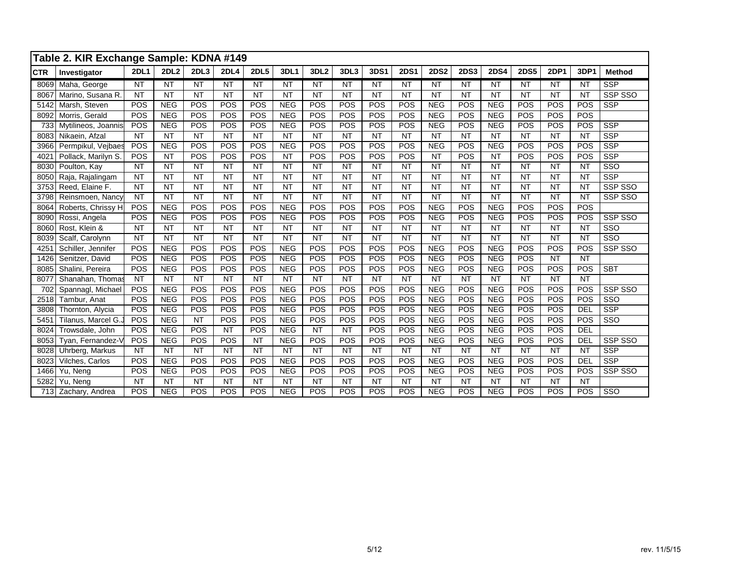|            | Table 2. KIR Exchange Sample: KDNA #149 |             |             |            |             |             |            |                  |           |                 |             |             |             |             |             |             |            |                         |
|------------|-----------------------------------------|-------------|-------------|------------|-------------|-------------|------------|------------------|-----------|-----------------|-------------|-------------|-------------|-------------|-------------|-------------|------------|-------------------------|
| <b>CTR</b> | Investigator                            | <b>2DL1</b> | <b>2DL2</b> | 2DL3       | <b>2DL4</b> | <b>2DL5</b> | 3DL1       | 3DL <sub>2</sub> | 3DL3      | <b>3DS1</b>     | <b>2DS1</b> | <b>2DS2</b> | <b>2DS3</b> | <b>2DS4</b> | <b>2DS5</b> | <b>2DP1</b> | 3DP1       | <b>Method</b>           |
| 8069       | Maha, George                            | <b>NT</b>   | <b>NT</b>   | <b>NT</b>  | <b>NT</b>   | <b>NT</b>   | <b>NT</b>  | <b>NT</b>        | <b>NT</b> | <b>NT</b>       | <b>NT</b>   | <b>NT</b>   | <b>NT</b>   | <b>NT</b>   | <b>NT</b>   | <b>NT</b>   | <b>NT</b>  | <b>SSP</b>              |
| 8067       | Marino, Susana R.                       | <b>NT</b>   | <b>NT</b>   | <b>NT</b>  | <b>NT</b>   | <b>NT</b>   | <b>NT</b>  | <b>NT</b>        | <b>NT</b> | $\overline{NT}$ | <b>NT</b>   | NT          | <b>NT</b>   | <b>NT</b>   | NT          | <b>NT</b>   | <b>NT</b>  | SSP SSO                 |
| 5142       | Marsh, Steven                           | POS         | <b>NEG</b>  | POS        | POS         | POS         | <b>NEG</b> | POS              | POS       | POS             | POS         | <b>NEG</b>  | POS         | <b>NEG</b>  | POS         | POS         | POS        | <b>SSP</b>              |
| 8092       | Morris, Gerald                          | POS         | <b>NEG</b>  | POS        | POS         | POS         | <b>NEG</b> | POS              | POS       | POS             | POS         | <b>NEG</b>  | POS         | <b>NEG</b>  | POS         | POS         | POS        |                         |
| 733        | Mytilineos, Joannis                     | POS         | <b>NEG</b>  | <b>POS</b> | POS         | POS         | <b>NEG</b> | POS              | POS       | POS             | POS         | <b>NEG</b>  | POS         | <b>NEG</b>  | POS         | POS         | POS        | <b>SSP</b>              |
| 8083       | Nikaein, Afzal                          | <b>NT</b>   | <b>NT</b>   | <b>NT</b>  | <b>NT</b>   | <b>NT</b>   | <b>NT</b>  | <b>NT</b>        | <b>NT</b> | <b>NT</b>       | <b>NT</b>   | <b>NT</b>   | <b>NT</b>   | <b>NT</b>   | <b>NT</b>   | <b>NT</b>   | <b>NT</b>  | <b>SSP</b>              |
| 3966       | Permpikul, Vejbaes                      | POS         | <b>NEG</b>  | POS        | POS         | POS         | <b>NEG</b> | POS              | POS       | POS             | POS         | <b>NEG</b>  | POS         | <b>NEG</b>  | POS         | POS         | POS        | <b>SSP</b>              |
| 4021       | Pollack, Marilyn S.                     | POS         | <b>NT</b>   | POS        | POS         | POS         | <b>NT</b>  | POS              | POS       | POS             | POS         | <b>NT</b>   | POS         | <b>NT</b>   | POS         | POS         | POS        | <b>SSP</b>              |
| 8030       | Poulton, Kay                            | <b>NT</b>   | <b>NT</b>   | <b>NT</b>  | <b>NT</b>   | <b>NT</b>   | <b>NT</b>  | <b>NT</b>        | <b>NT</b> | <b>NT</b>       | <b>NT</b>   | <b>NT</b>   | <b>NT</b>   | <b>NT</b>   | <b>NT</b>   | <b>NT</b>   | <b>NT</b>  | SSO                     |
| 8050       | Raja, Rajalingam                        | <b>NT</b>   | <b>NT</b>   | <b>NT</b>  | <b>NT</b>   | <b>NT</b>   | <b>NT</b>  | <b>NT</b>        | <b>NT</b> | <b>NT</b>       | <b>NT</b>   | <b>NT</b>   | <b>NT</b>   | <b>NT</b>   | <b>NT</b>   | <b>NT</b>   | <b>NT</b>  | <b>SSP</b>              |
| 3753       | Reed, Elaine F.                         | <b>NT</b>   | <b>NT</b>   | <b>NT</b>  | <b>NT</b>   | <b>NT</b>   | <b>NT</b>  | <b>NT</b>        | <b>NT</b> | <b>NT</b>       | <b>NT</b>   | <b>NT</b>   | <b>NT</b>   | <b>NT</b>   | <b>NT</b>   | <b>NT</b>   | <b>NT</b>  | SSP SSO                 |
| 3798       | Reinsmoen, Nancy                        | <b>NT</b>   | <b>NT</b>   | <b>NT</b>  | <b>NT</b>   | <b>NT</b>   | <b>NT</b>  | <b>NT</b>        | <b>NT</b> | <b>NT</b>       | <b>NT</b>   | <b>NT</b>   | <b>NT</b>   | <b>NT</b>   | <b>NT</b>   | <b>NT</b>   | <b>NT</b>  | SSP SSO                 |
| 8064       | Roberts, Chrissy H                      | POS         | <b>NEG</b>  | POS        | POS         | POS         | <b>NEG</b> | POS              | POS       | POS             | POS         | <b>NEG</b>  | POS         | <b>NEG</b>  | POS         | POS         | POS        |                         |
| 8090       | Rossi, Angela                           | POS         | <b>NEG</b>  | POS        | POS         | POS         | <b>NEG</b> | POS              | POS       | POS             | POS         | <b>NEG</b>  | POS         | <b>NEG</b>  | POS         | POS         | POS        | SSP SSO                 |
| 8060       | Rost, Klein &                           | <b>NT</b>   | <b>NT</b>   | <b>NT</b>  | <b>NT</b>   | <b>NT</b>   | <b>NT</b>  | <b>NT</b>        | <b>NT</b> | <b>NT</b>       | <b>NT</b>   | <b>NT</b>   | <b>NT</b>   | <b>NT</b>   | <b>NT</b>   | <b>NT</b>   | <b>NT</b>  | SSO                     |
| 8039       | Scalf, Carolynn                         | <b>NT</b>   | <b>NT</b>   | <b>NT</b>  | <b>NT</b>   | <b>NT</b>   | <b>NT</b>  | <b>NT</b>        | <b>NT</b> | <b>NT</b>       | <b>NT</b>   | NT          | <b>NT</b>   | <b>NT</b>   | <b>NT</b>   | <b>NT</b>   | <b>NT</b>  | $\overline{\text{SSO}}$ |
| 4251       | Schiller, Jennifer                      | POS         | <b>NEG</b>  | POS        | POS         | POS         | <b>NEG</b> | POS              | POS       | POS             | POS         | <b>NEG</b>  | POS         | <b>NEG</b>  | POS         | POS         | POS        | SSP SSO                 |
| 1426       | Senitzer, David                         | POS         | <b>NEG</b>  | POS        | POS         | POS         | <b>NEG</b> | POS              | POS       | POS             | POS         | <b>NEG</b>  | POS         | <b>NEG</b>  | POS         | <b>NT</b>   | <b>NT</b>  |                         |
| 8085       | Shalini, Pereira                        | POS         | <b>NEG</b>  | POS        | POS         | POS         | <b>NEG</b> | POS              | POS       | POS             | POS         | <b>NEG</b>  | POS         | <b>NEG</b>  | POS         | POS         | POS        | <b>SBT</b>              |
| 8077       | Shanahan, Thomas                        | <b>NT</b>   | <b>NT</b>   | <b>NT</b>  | <b>NT</b>   | <b>NT</b>   | <b>NT</b>  | <b>NT</b>        | <b>NT</b> | <b>NT</b>       | <b>NT</b>   | <b>NT</b>   | <b>NT</b>   | <b>NT</b>   | <b>NT</b>   | <b>NT</b>   | <b>NT</b>  |                         |
| 702        | Spannagl, Michael                       | POS         | <b>NEG</b>  | POS        | POS         | POS         | <b>NEG</b> | POS              | POS       | POS             | POS         | <b>NEG</b>  | POS         | <b>NEG</b>  | POS         | POS         | POS        | SSP SSO                 |
| 2518       | Tambur, Anat                            | POS         | <b>NEG</b>  | POS        | POS         | POS         | <b>NEG</b> | POS              | POS       | POS             | POS         | <b>NEG</b>  | POS         | <b>NEG</b>  | POS         | POS         | POS        | SSO                     |
| 3808       | Thornton, Alycia                        | POS         | <b>NEG</b>  | POS        | POS         | POS         | <b>NEG</b> | POS              | POS       | POS             | POS         | <b>NEG</b>  | POS         | <b>NEG</b>  | POS         | POS         | <b>DEL</b> | <b>SSP</b>              |
| 5451       | Tilanus, Marcel G.,                     | POS         | <b>NEG</b>  | <b>NT</b>  | POS         | POS         | <b>NEG</b> | POS              | POS       | POS             | POS         | <b>NEG</b>  | POS         | <b>NEG</b>  | POS         | POS         | POS        | SSO                     |
| 8024       | Trowsdale, John                         | POS         | <b>NEG</b>  | POS        | <b>NT</b>   | POS         | <b>NEG</b> | <b>NT</b>        | <b>NT</b> | POS             | POS         | <b>NEG</b>  | POS         | <b>NEG</b>  | POS         | POS         | <b>DEL</b> |                         |
| 8053       | Tyan, Fernandez-V                       | POS         | <b>NEG</b>  | POS        | POS         | <b>NT</b>   | <b>NEG</b> | POS              | POS       | POS             | POS         | <b>NEG</b>  | POS         | <b>NEG</b>  | POS         | POS         | DEL        | SSP SSO                 |
| 8028       | Uhrberg, Markus                         | <b>NT</b>   | <b>NT</b>   | <b>NT</b>  | <b>NT</b>   | <b>NT</b>   | <b>NT</b>  | <b>NT</b>        | <b>NT</b> | <b>NT</b>       | <b>NT</b>   | <b>NT</b>   | <b>NT</b>   | <b>NT</b>   | <b>NT</b>   | <b>NT</b>   | <b>NT</b>  | <b>SSP</b>              |
| 8023       | Vilches, Carlos                         | POS         | <b>NEG</b>  | POS        | POS         | POS         | <b>NEG</b> | POS              | POS       | POS             | POS         | <b>NEG</b>  | POS         | <b>NEG</b>  | POS         | POS         | <b>DEL</b> | <b>SSP</b>              |
| 1466       | Yu, Neng                                | POS         | <b>NEG</b>  | POS        | POS         | POS         | <b>NEG</b> | POS              | POS       | POS             | POS         | <b>NEG</b>  | POS         | <b>NEG</b>  | POS         | POS         | POS        | SSP SSO                 |
| 5282       | Yu, Neng                                | <b>NT</b>   | <b>NT</b>   | <b>NT</b>  | <b>NT</b>   | <b>NT</b>   | <b>NT</b>  | <b>NT</b>        | <b>NT</b> | <b>NT</b>       | <b>NT</b>   | <b>NT</b>   | <b>NT</b>   | <b>NT</b>   | <b>NT</b>   | <b>NT</b>   | <b>NT</b>  |                         |
| 713        | Zachary, Andrea                         | POS         | <b>NEG</b>  | POS        | POS         | POS         | <b>NEG</b> | POS              | POS       | POS             | POS         | <b>NEG</b>  | POS         | <b>NEG</b>  | POS         | POS         | POS        | SSO                     |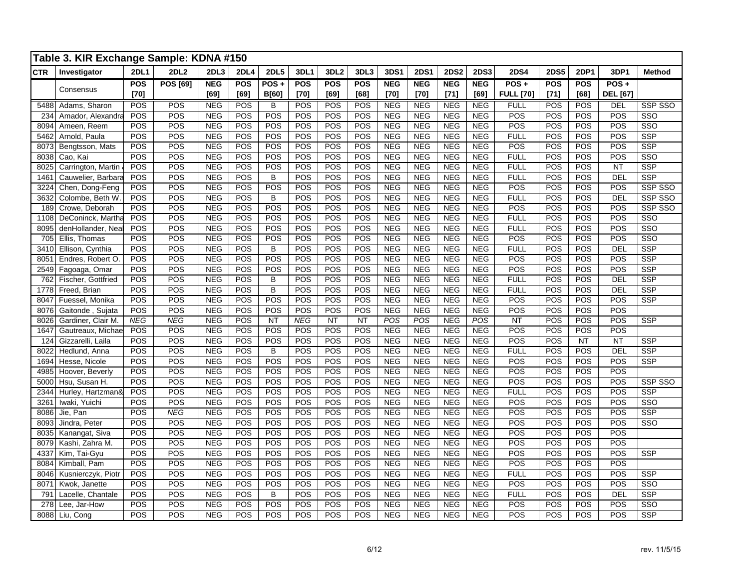|            | Table 3. KIR Exchange Sample: KDNA #150 |             |                 |            |             |                |            |                  |            |            |             |             |             |                  |             |            |                 |                         |
|------------|-----------------------------------------|-------------|-----------------|------------|-------------|----------------|------------|------------------|------------|------------|-------------|-------------|-------------|------------------|-------------|------------|-----------------|-------------------------|
| <b>CTR</b> | Investigator                            | <b>2DL1</b> | <b>2DL2</b>     | 2DL3       | <b>2DL4</b> | <b>2DL5</b>    | 3DL1       | 3DL <sub>2</sub> | 3DL3       | 3DS1       | <b>2DS1</b> | <b>2DS2</b> | <b>2DS3</b> | <b>2DS4</b>      | <b>2DS5</b> | 2DP1       | 3DP1            | <b>Method</b>           |
|            |                                         | <b>POS</b>  | <b>POS [69]</b> | <b>NEG</b> | <b>POS</b>  | $POS +$        | <b>POS</b> | <b>POS</b>       | <b>POS</b> | <b>NEG</b> | <b>NEG</b>  | <b>NEG</b>  | <b>NEG</b>  | $POS +$          | POS         | <b>POS</b> | $POS +$         |                         |
|            | Consensus                               | $[70]$      |                 | [69]       | [69]        | <b>B[60]</b>   | $[70]$     | [69]             | [68]       | [70]       | $[70]$      | $[71]$      | [69]        | <b>FULL [70]</b> | $[71]$      | [68]       | <b>DEL</b> [67] |                         |
| 5488       | Adams, Sharon                           | POS         | <b>POS</b>      | <b>NEG</b> | POS         | В              | POS        | POS              | POS        | <b>NEG</b> | <b>NEG</b>  | <b>NEG</b>  | <b>NEG</b>  | <b>FULL</b>      | POS         | <b>POS</b> | DEL             | SSP SSO                 |
| 234        | Amador, Alexandra                       | POS         | POS             | <b>NEG</b> | POS         | POS            | POS        | POS              | POS        | <b>NEG</b> | <b>NEG</b>  | <b>NEG</b>  | <b>NEG</b>  | POS              | POS         | POS        | POS             | $\overline{\text{SSO}}$ |
| 8094       | Ameen, Reem                             | POS         | POS             | <b>NEG</b> | POS         | POS            | POS        | POS              | POS        | <b>NEG</b> | <b>NEG</b>  | <b>NEG</b>  | <b>NEG</b>  | POS              | POS         | POS        | POS             | $\overline{\text{SSO}}$ |
| 5462       | Arnold, Paula                           | POS         | POS             | NEG        | POS         | POS            | POS        | POS              | POS        | <b>NEG</b> | <b>NEG</b>  | <b>NEG</b>  | <b>NEG</b>  | <b>FULL</b>      | POS         | POS        | POS             | <b>SSP</b>              |
| 8073       | Bengtsson, Mats                         | POS         | POS             | <b>NEG</b> | POS         | POS            | POS        | POS              | POS        | <b>NEG</b> | <b>NEG</b>  | <b>NEG</b>  | <b>NEG</b>  | POS              | POS         | POS        | POS             | <b>SSP</b>              |
| 8038       | Cao, Kai                                | POS         | POS             | <b>NEG</b> | POS         | POS            | POS        | POS              | POS        | <b>NEG</b> | <b>NEG</b>  | <b>NEG</b>  | <b>NEG</b>  | <b>FULL</b>      | POS         | POS        | POS             | SSO                     |
| 8025       | Carrington, Martin                      | POS         | POS             | <b>NEG</b> | POS         | POS            | POS        | POS              | POS        | NEG        | <b>NEG</b>  | NEG         | <b>NEG</b>  | <b>FULL</b>      | POS         | POS        | <b>NT</b>       | <b>SSP</b>              |
| 1461       | Cauwelier, Barbara                      | POS         | POS             | <b>NEG</b> | POS         | B              | POS        | POS              | POS        | NEG        | NEG         | <b>NEG</b>  | <b>NEG</b>  | <b>FULL</b>      | POS         | POS        | DEL             | <b>SSP</b>              |
| 3224       | Chen, Dong-Feng                         | POS         | POS             | <b>NEG</b> | POS         | POS            | POS        | POS              | POS        | <b>NEG</b> | <b>NEG</b>  | <b>NEG</b>  | <b>NEG</b>  | POS              | POS         | POS        | POS             | SSP SSO                 |
| 3632       | Colombe, Beth W.                        | POS         | POS             | <b>NEG</b> | POS         | B              | POS        | POS              | POS        | <b>NEG</b> | <b>NEG</b>  | <b>NEG</b>  | <b>NEG</b>  | <b>FULL</b>      | POS         | POS        | <b>DEL</b>      | SSP SSO                 |
| 189        | Crowe, Deborah                          | POS         | POS             | NEG        | POS         | POS            | POS        | POS              | POS        | NEG        | <b>NEG</b>  | NEG         | <b>NEG</b>  | POS              | POS         | POS        | POS             | SSP SSO                 |
| 1108       | DeConinck, Martha                       | POS         | POS             | <b>NEG</b> | POS         | POS            | POS        | POS              | POS        | NEG        | NEG         | <b>NEG</b>  | <b>NEG</b>  | <b>FULL</b>      | POS         | POS        | POS             | $\overline{\text{SSO}}$ |
| 8095       | denHollander, Neal                      | POS         | POS             | <b>NEG</b> | POS         | POS            | POS        | POS              | POS        | <b>NEG</b> | <b>NEG</b>  | <b>NEG</b>  | NEG         | <b>FULL</b>      | POS         | POS        | POS             | $\overline{\text{SSO}}$ |
| 705        | Ellis, Thomas                           | POS         | POS             | <b>NEG</b> | POS         | POS            | POS        | POS              | POS        | NEG        | <b>NEG</b>  | <b>NEG</b>  | <b>NEG</b>  | POS              | POS         | POS        | POS             | $\overline{\text{SSO}}$ |
| 3410       | Ellison, Cynthia                        | POS         | POS             | <b>NEG</b> | POS         | B              | POS        | POS              | POS        | <b>NEG</b> | <b>NEG</b>  | <b>NEG</b>  | <b>NEG</b>  | <b>FULL</b>      | POS         | POS        | DEL             | <b>SSP</b>              |
| 8051       | Endres, Robert O                        | POS         | POS             | <b>NEG</b> | POS         | POS            | POS        | POS              | POS        | <b>NEG</b> | <b>NEG</b>  | <b>NEG</b>  | <b>NEG</b>  | POS              | POS         | POS        | POS             | <b>SSP</b>              |
| 2549       | Fagoaga, Omar                           | POS         | POS             | NEG        | POS         | POS            | POS        | POS              | POS        | <b>NEG</b> | NEG         | <b>NEG</b>  | <b>NEG</b>  | POS              | POS         | POS        | POS             | <b>SSP</b>              |
| 762        | Fischer, Gottfried                      | POS         | POS             | <b>NEG</b> | POS         | B              | POS        | POS              | POS        | <b>NEG</b> | <b>NEG</b>  | <b>NEG</b>  | <b>NEG</b>  | <b>FULL</b>      | POS         | POS        | <b>DEL</b>      | <b>SSP</b>              |
| 1778       | Freed, Brian                            | POS         | POS             | NEG        | POS         | $\overline{B}$ | POS        | POS              | POS        | <b>NEG</b> | <b>NEG</b>  | NEG         | <b>NEG</b>  | <b>FULL</b>      | POS         | POS        | DEL             | SSP                     |
| 8047       | Fuessel, Monika                         | POS         | POS             | <b>NEG</b> | POS         | POS            | POS        | POS              | POS        | <b>NEG</b> | <b>NEG</b>  | <b>NEG</b>  | <b>NEG</b>  | POS              | POS         | POS        | POS             | <b>SSP</b>              |
| 8076       | Gaitonde, Sujata                        | POS         | POS             | <b>NEG</b> | POS         | POS            | POS        | POS              | POS        | <b>NEG</b> | <b>NEG</b>  | <b>NEG</b>  | <b>NEG</b>  | POS              | POS         | POS        | POS             |                         |
| 8026       | Gardiner, Clair M.                      | <b>NEG</b>  | <b>NEG</b>      | <b>NEG</b> | POS         | NT             | <b>NEG</b> | <b>NT</b>        | <b>NT</b>  | POS        | POS         | <b>NEG</b>  | POS         | NT               | POS         | POS        | POS             | <b>SSP</b>              |
| 1647       | Gautreaux, Michae                       | POS         | POS             | NEG        | POS         | POS            | POS        | POS              | POS        | <b>NEG</b> | NEG         | NEG         | NEG         | POS              | POS         | POS        | POS             |                         |
| 124        | Gizzarelli, Laila                       | POS         | POS             | NEG        | POS         | POS            | POS        | POS              | POS        | <b>NEG</b> | <b>NEG</b>  | <b>NEG</b>  | <b>NEG</b>  | POS              | POS         | NT         | $\overline{NT}$ | <b>SSP</b>              |
| 8022       | Hedlund, Anna                           | POS         | POS             | <b>NEG</b> | POS         | B              | POS        | POS              | POS        | <b>NEG</b> | <b>NEG</b>  | <b>NEG</b>  | <b>NEG</b>  | <b>FULL</b>      | POS         | POS        | <b>DEL</b>      | <b>SSP</b>              |
| 1694       | Hesse, Nicole                           | POS         | POS             | <b>NEG</b> | POS         | POS            | POS        | POS              | POS        | <b>NEG</b> | <b>NEG</b>  | <b>NEG</b>  | <b>NEG</b>  | POS              | POS         | POS        | POS             | <b>SSP</b>              |
| 4985       | Hoover, Beverly                         | POS         | POS             | <b>NEG</b> | POS         | POS            | POS        | POS              | POS        | <b>NEG</b> | <b>NEG</b>  | <b>NEG</b>  | <b>NEG</b>  | POS              | POS         | POS        | POS             |                         |
| 5000       | Hsu, Susan H.                           | POS         | POS             | NEG        | POS         | POS            | POS        | POS              | POS        | <b>NEG</b> | NEG         | <b>NEG</b>  | <b>NEG</b>  | POS              | POS         | POS        | POS             | <b>SSP SSO</b>          |
| 2344       | Hurley, Hartzman&                       | POS         | POS             | NEG        | POS         | POS            | POS        | POS              | POS        | <b>NEG</b> | <b>NEG</b>  | NEG         | <b>NEG</b>  | <b>FULL</b>      | POS         | POS        | POS             | <b>SSP</b>              |
| 3261       | Iwaki, Yuichi                           | POS         | POS             | <b>NEG</b> | POS         | POS            | POS        | POS              | POS        | <b>NEG</b> | <b>NEG</b>  | <b>NEG</b>  | <b>NEG</b>  | POS              | POS         | POS        | POS             | $\overline{\text{SSO}}$ |
| 8086       | Jie, Pan                                | POS         | <b>NEG</b>      | <b>NEG</b> | POS         | POS            | POS        | POS              | POS        | <b>NEG</b> | <b>NEG</b>  | <b>NEG</b>  | <b>NEG</b>  | POS              | POS         | POS        | POS             | <b>SSP</b>              |
| 8093       | Jindra, Peter                           | POS         | POS             | <b>NEG</b> | POS         | POS            | POS        | POS              | POS        | <b>NEG</b> | NEG         | <b>NEG</b>  | <b>NEG</b>  | POS              | POS         | POS        | POS             | $\overline{\text{SSO}}$ |
| 8035       | Kanangat, Siva                          | POS         | POS             | <b>NEG</b> | POS         | POS            | POS        | POS              | POS        | <b>NEG</b> | <b>NEG</b>  | <b>NEG</b>  | NEG         | POS              | POS         | POS        | POS             |                         |
| 8079       | Kashi, Zahra M.                         | POS         | POS             | <b>NEG</b> | POS         | POS            | POS        | POS              | POS        | <b>NEG</b> | <b>NEG</b>  | <b>NEG</b>  | <b>NEG</b>  | POS              | POS         | POS        | POS             |                         |
| 4337       | Kim, Tai-Gyu                            | POS         | POS             | <b>NEG</b> | POS         | POS            | POS        | POS              | POS        | <b>NEG</b> | <b>NEG</b>  | <b>NEG</b>  | <b>NEG</b>  | POS              | POS         | POS        | POS             | <b>SSP</b>              |
| 8084       | Kimball, Pam                            | POS         | POS             | <b>NEG</b> | POS         | POS            | POS        | POS              | POS        | <b>NEG</b> | <b>NEG</b>  | <b>NEG</b>  | <b>NEG</b>  | POS              | POS         | POS        | POS             |                         |
| 8046       | Kusnierczyk, Piotr                      | POS         | POS             | <b>NEG</b> | POS         | POS            | POS        | POS              | POS        | <b>NEG</b> | <b>NEG</b>  | <b>NEG</b>  | <b>NEG</b>  | <b>FULL</b>      | POS         | POS        | POS             | <b>SSP</b>              |
| 8071       | Kwok, Janette                           | POS         | POS             | <b>NEG</b> | POS         | POS            | POS        | POS              | POS        | <b>NEG</b> | <b>NEG</b>  | <b>NEG</b>  | <b>NEG</b>  | POS              | POS         | POS        | POS             | $\overline{\text{SSO}}$ |
| 791        | Lacelle, Chantale                       | POS         | POS             | <b>NEG</b> | POS         | В              | POS        | POS              | POS        | <b>NEG</b> | <b>NEG</b>  | <b>NEG</b>  | <b>NEG</b>  | <b>FULL</b>      | POS         | POS        | <b>DEL</b>      | <b>SSP</b>              |
| 278        | Lee, Jar-How                            | POS         | POS             | <b>NEG</b> | POS         | POS            | POS        | POS              | POS        | <b>NEG</b> | <b>NEG</b>  | <b>NEG</b>  | <b>NEG</b>  | POS              | POS         | POS        | POS             | $\overline{\text{SSO}}$ |
| 8088       | Liu, Cong                               | POS         | POS             | NEG        | POS         | POS            | POS        | POS              | POS        | <b>NEG</b> | <b>NEG</b>  | <b>NEG</b>  | <b>NEG</b>  | POS              | POS         | POS        | POS             | <b>SSP</b>              |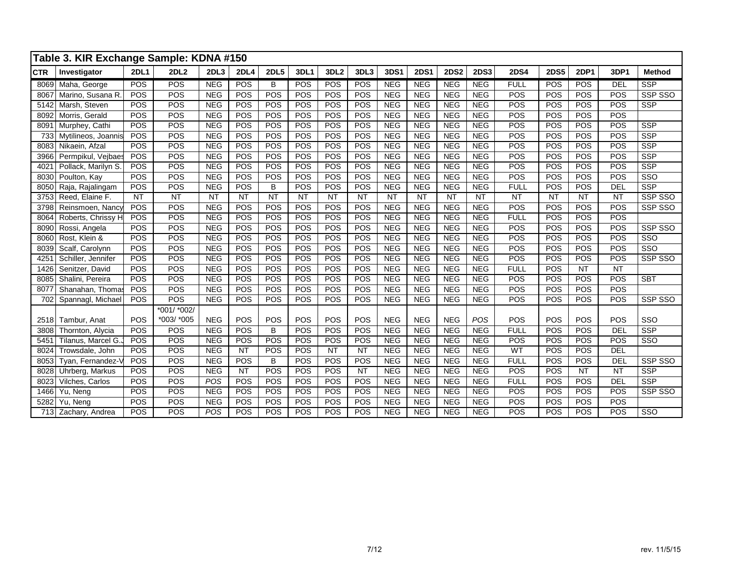|            | Table 3. KIR Exchange Sample: KDNA #150 |             |             |            |             |             |           |                  |           |            |             |             |             |             |             |             |            |                         |
|------------|-----------------------------------------|-------------|-------------|------------|-------------|-------------|-----------|------------------|-----------|------------|-------------|-------------|-------------|-------------|-------------|-------------|------------|-------------------------|
| <b>CTR</b> | Investigator                            | <b>2DL1</b> | 2DL2        | 2DL3       | <b>2DL4</b> | <b>2DL5</b> | 3DL1      | 3DL <sub>2</sub> | 3DL3      | 3DS1       | <b>2DS1</b> | <b>2DS2</b> | <b>2DS3</b> | <b>2DS4</b> | <b>2DS5</b> | <b>2DP1</b> | 3DP1       | <b>Method</b>           |
| 8069       | Maha, George                            | POS         | <b>POS</b>  | <b>NEG</b> | <b>POS</b>  | B           | POS       | POS              | POS       | <b>NEG</b> | <b>NEG</b>  | <b>NEG</b>  | <b>NEG</b>  | <b>FULL</b> | POS         | POS         | <b>DEL</b> | <b>SSP</b>              |
| 8067       | Marino, Susana R.                       | POS         | POS         | <b>NEG</b> | POS         | POS         | POS       | POS              | POS       | <b>NEG</b> | <b>NEG</b>  | <b>NEG</b>  | <b>NEG</b>  | POS         | POS         | POS         | POS        | SSP SSO                 |
| 5142       | Marsh, Steven                           | POS         | POS         | <b>NEG</b> | <b>POS</b>  | POS         | POS       | POS              | POS       | <b>NEG</b> | <b>NEG</b>  | <b>NEG</b>  | <b>NEG</b>  | POS         | POS         | POS         | POS        | <b>SSP</b>              |
| 8092       | Morris, Gerald                          | POS         | POS         | <b>NEG</b> | POS         | POS         | POS       | POS              | POS       | <b>NEG</b> | <b>NEG</b>  | <b>NEG</b>  | <b>NEG</b>  | POS         | POS         | POS         | POS        |                         |
| 8091       | Murphey, Cathi                          | POS         | POS         | <b>NEG</b> | POS         | POS         | POS       | POS              | POS       | <b>NEG</b> | <b>NEG</b>  | <b>NEG</b>  | <b>NEG</b>  | POS         | POS         | POS         | POS        | <b>SSP</b>              |
| 733        | Mytilineos, Joannis                     | POS         | POS         | <b>NEG</b> | POS         | POS         | POS       | POS              | POS       | <b>NEG</b> | <b>NEG</b>  | <b>NEG</b>  | <b>NEG</b>  | POS         | POS         | POS         | POS        | <b>SSP</b>              |
| 8083       | Nikaein, Afzal                          | POS         | POS         | <b>NEG</b> | POS         | POS         | POS       | POS              | POS       | <b>NEG</b> | <b>NEG</b>  | <b>NEG</b>  | <b>NEG</b>  | POS         | POS         | POS         | POS        | <b>SSP</b>              |
| 3966       | Permpikul, Vejbaes                      | POS         | POS         | <b>NEG</b> | POS         | POS         | POS       | POS              | POS       | <b>NEG</b> | <b>NEG</b>  | <b>NEG</b>  | <b>NEG</b>  | POS         | POS         | POS         | POS        | <b>SSP</b>              |
| 4021       | Pollack, Marilyn S.                     | POS         | POS         | <b>NEG</b> | POS         | POS         | POS       | POS              | POS       | <b>NEG</b> | <b>NEG</b>  | <b>NEG</b>  | <b>NEG</b>  | POS         | POS         | POS         | POS        | <b>SSP</b>              |
| 8030       | Poulton, Kay                            | POS         | POS         | <b>NEG</b> | POS         | POS         | POS       | POS              | POS       | <b>NEG</b> | <b>NEG</b>  | <b>NEG</b>  | <b>NEG</b>  | POS         | POS         | POS         | POS        | SSO                     |
| 8050       | Raja, Rajalingam                        | POS         | POS         | <b>NEG</b> | POS         | B           | POS       | POS              | POS       | <b>NEG</b> | <b>NEG</b>  | <b>NEG</b>  | <b>NEG</b>  | <b>FULL</b> | POS         | POS         | <b>DEL</b> | $\overline{\text{SSP}}$ |
| 3753       | Reed, Elaine F.                         | <b>NT</b>   | <b>NT</b>   | <b>NT</b>  | <b>NT</b>   | <b>NT</b>   | <b>NT</b> | <b>NT</b>        | <b>NT</b> | <b>NT</b>  | <b>NT</b>   | <b>NT</b>   | <b>NT</b>   | <b>NT</b>   | <b>NT</b>   | <b>NT</b>   | <b>NT</b>  | SSP SSO                 |
| 3798       | Reinsmoen, Nancy                        | POS         | POS         | <b>NEG</b> | POS         | POS         | POS       | POS              | POS       | <b>NEG</b> | <b>NEG</b>  | <b>NEG</b>  | <b>NEG</b>  | POS         | POS         | POS         | POS        | SSP SSO                 |
| 8064       | Roberts, Chrissy H                      | POS         | POS         | <b>NEG</b> | POS         | POS         | POS       | POS              | POS       | <b>NEG</b> | <b>NEG</b>  | <b>NEG</b>  | <b>NEG</b>  | <b>FULL</b> | POS         | POS         | POS        |                         |
| 8090       | Rossi, Angela                           | POS         | POS         | <b>NEG</b> | POS         | POS         | POS       | POS              | POS       | <b>NEG</b> | <b>NEG</b>  | <b>NEG</b>  | <b>NEG</b>  | POS         | POS         | POS         | POS        | SSP SSO                 |
| 8060       | Rost, Klein &                           | POS         | POS         | <b>NEG</b> | POS         | POS         | POS       | POS              | POS       | <b>NEG</b> | <b>NEG</b>  | <b>NEG</b>  | <b>NEG</b>  | POS         | POS         | POS         | POS        | $\overline{\text{SSO}}$ |
| 8039       | Scalf, Carolynn                         | POS         | POS         | <b>NEG</b> | POS         | POS         | POS       | POS              | POS       | <b>NEG</b> | <b>NEG</b>  | <b>NEG</b>  | <b>NEG</b>  | <b>POS</b>  | POS         | POS         | POS        | SSO                     |
| 425'       | Schiller, Jennifer                      | POS         | POS         | <b>NEG</b> | POS         | POS         | POS       | POS              | POS       | <b>NEG</b> | <b>NEG</b>  | <b>NEG</b>  | <b>NEG</b>  | POS         | POS         | POS         | POS        | SSP SSO                 |
| 1426       | Senitzer, David                         | POS         | POS         | <b>NEG</b> | POS         | POS         | POS       | POS              | POS       | <b>NEG</b> | <b>NEG</b>  | <b>NEG</b>  | <b>NEG</b>  | <b>FULL</b> | POS         | <b>NT</b>   | <b>NT</b>  |                         |
| 8085       | Shalini, Pereira                        | POS         | POS         | <b>NEG</b> | POS         | POS         | POS       | POS              | POS       | <b>NEG</b> | <b>NEG</b>  | <b>NEG</b>  | <b>NEG</b>  | <b>POS</b>  | POS         | POS         | POS        | <b>SBT</b>              |
| 8077       | Shanahan, Thomas                        | POS         | POS         | <b>NEG</b> | POS         | POS         | POS       | POS              | POS       | <b>NEG</b> | <b>NEG</b>  | <b>NEG</b>  | <b>NEG</b>  | POS         | POS         | POS         | POS        |                         |
| 702        | Spannagl, Michael                       | POS         | <b>POS</b>  | <b>NEG</b> | POS         | POS         | POS       | POS              | POS       | <b>NEG</b> | <b>NEG</b>  | <b>NEG</b>  | <b>NEG</b>  | <b>POS</b>  | POS         | POS         | POS        | SSP SSO                 |
|            |                                         |             | *001/ *002/ |            |             |             |           |                  |           |            |             |             |             |             |             |             |            |                         |
| 2518       | Tambur, Anat                            | POS         | *003/ *005  | <b>NEG</b> | POS         | POS         | POS       | POS              | POS       | <b>NEG</b> | <b>NEG</b>  | <b>NEG</b>  | POS         | <b>POS</b>  | POS         | POS         | POS        | SSO                     |
| 3808       | Thornton, Alycia                        | POS         | POS         | <b>NEG</b> | POS         | B           | POS       | POS              | POS       | <b>NEG</b> | <b>NEG</b>  | <b>NEG</b>  | <b>NEG</b>  | <b>FULL</b> | POS         | POS         | <b>DEL</b> | <b>SSP</b>              |
| 5451       | Tilanus, Marcel G.                      | POS         | POS         | <b>NEG</b> | POS         | POS         | POS       | POS              | POS       | <b>NEG</b> | <b>NEG</b>  | <b>NEG</b>  | <b>NEG</b>  | POS         | POS         | POS         | POS        | SSO                     |
| 8024       | Trowsdale, John                         | POS         | POS         | <b>NEG</b> | <b>NT</b>   | POS         | POS       | <b>NT</b>        | <b>NT</b> | NEG        | <b>NEG</b>  | <b>NEG</b>  | <b>NEG</b>  | WT          | POS         | POS         | <b>DEL</b> |                         |
| 8053       | Tyan, Fernandez-V                       | POS         | POS         | <b>NEG</b> | POS         | B           | POS       | POS              | POS       | <b>NEG</b> | <b>NEG</b>  | <b>NEG</b>  | <b>NEG</b>  | <b>FULL</b> | POS         | POS         | <b>DEL</b> | SSP SSO                 |
| 8028       | Uhrberg, Markus                         | POS         | POS         | <b>NEG</b> | <b>NT</b>   | POS         | POS       | POS              | <b>NT</b> | <b>NEG</b> | <b>NEG</b>  | <b>NEG</b>  | <b>NEG</b>  | <b>POS</b>  | POS         | <b>NT</b>   | <b>NT</b>  | <b>SSP</b>              |
| 8023       | Vilches, Carlos                         | POS         | POS         | POS        | POS         | POS         | POS       | POS              | POS       | <b>NEG</b> | <b>NEG</b>  | <b>NEG</b>  | <b>NEG</b>  | <b>FULL</b> | POS         | POS         | <b>DEL</b> | <b>SSP</b>              |
| 1466       | Yu, Neng                                | POS         | POS         | <b>NEG</b> | POS         | POS         | POS       | POS              | POS       | <b>NEG</b> | <b>NEG</b>  | <b>NEG</b>  | <b>NEG</b>  | POS         | POS         | POS         | POS        | SSP SSO                 |
| 5282       | Yu. Nena                                | POS         | POS         | <b>NEG</b> | POS         | POS         | POS       | POS              | POS       | <b>NEG</b> | <b>NEG</b>  | <b>NEG</b>  | <b>NEG</b>  | POS         | POS         | POS         | POS        |                         |
|            | 713 Zachary, Andrea                     | POS         | POS         | POS        | POS         | POS         | POS       | POS              | POS       | <b>NEG</b> | NEG         | <b>NEG</b>  | <b>NEG</b>  | POS         | POS         | POS         | POS        | SSO                     |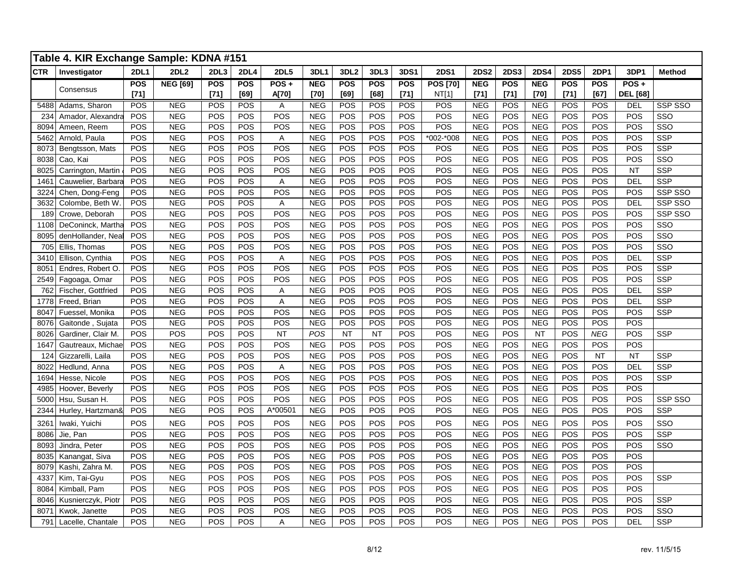|            | Table 4. KIR Exchange Sample: KDNA #151 |             |                 |            |             |             |            |                  |            |            |                 |             |                  |             |             |             |                 |                         |
|------------|-----------------------------------------|-------------|-----------------|------------|-------------|-------------|------------|------------------|------------|------------|-----------------|-------------|------------------|-------------|-------------|-------------|-----------------|-------------------------|
| <b>CTR</b> | Investigator                            | <b>2DL1</b> | <b>2DL2</b>     | 2DL3       | <b>2DL4</b> | <b>2DL5</b> | 3DL1       | 3DL <sub>2</sub> | 3DL3       | 3DS1       | <b>2DS1</b>     | <b>2DS2</b> | <b>2DS3</b>      | <b>2DS4</b> | <b>2DS5</b> | <b>2DP1</b> | 3DP1            | <b>Method</b>           |
|            |                                         | <b>POS</b>  | <b>NEG [69]</b> | <b>POS</b> | POS         | $POS +$     | <b>NEG</b> | <b>POS</b>       | <b>POS</b> | <b>POS</b> | <b>POS [70]</b> | <b>NEG</b>  | POS              | <b>NEG</b>  | <b>POS</b>  | <b>POS</b>  | $POS +$         |                         |
|            | Consensus                               | $[71]$      |                 | $[71]$     | [69]        | A[70]       | $[70]$     | [69]             | [68]       | $[71]$     | NT[1]           | $[71]$      | $[71]$           | $[70]$      | $[71]$      | [67]        | <b>DEL</b> [68] |                         |
| 5488       | Adams, Sharon                           | POS         | <b>NEG</b>      | <b>POS</b> | POS         | Α           | <b>NEG</b> | POS              | POS        | <b>POS</b> | POS             | <b>NEG</b>  | <b>POS</b>       | <b>NEG</b>  | POS         | POS         | <b>DEL</b>      | <b>SSP SSO</b>          |
| 234        | Amador, Alexandra                       | POS         | <b>NEG</b>      | POS        | POS         | POS         | <b>NEG</b> | POS              | POS        | POS        | POS             | <b>NEG</b>  | POS              | <b>NEG</b>  | POS         | POS         | POS             | SSO                     |
| 8094       | Ameen, Reem                             | POS         | <b>NEG</b>      | POS        | POS         | POS         | <b>NEG</b> | POS              | POS        | POS        | POS             | NEG         | POS              | <b>NEG</b>  | POS         | POS         | POS             | $\overline{\text{SSO}}$ |
| 5462       | Arnold, Paula                           | POS         | <b>NEG</b>      | POS        | POS         | А           | <b>NEG</b> | POS              | POS        | POS        | *002-*008       | <b>NEG</b>  | POS              | <b>NEG</b>  | POS         | POS         | POS             | <b>SSP</b>              |
| 8073       | Bengtsson, Mats                         | POS         | <b>NEG</b>      | POS        | POS         | POS         | <b>NEG</b> | POS              | POS        | POS        | POS             | <b>NEG</b>  | POS              | <b>NEG</b>  | POS         | POS         | POS             | <b>SSP</b>              |
| 8038       | Cao, Kai                                | POS         | <b>NEG</b>      | POS        | POS         | POS         | <b>NEG</b> | POS              | POS        | POS        | POS             | <b>NEG</b>  | POS              | <b>NEG</b>  | POS         | POS         | POS             | SSO                     |
| 8025       | Carrington, Martin                      | POS         | <b>NEG</b>      | POS        | POS         | POS         | <b>NEG</b> | POS              | POS        | POS        | POS             | <b>NEG</b>  | POS              | <b>NEG</b>  | POS         | POS         | <b>NT</b>       | <b>SSP</b>              |
| 146'       | Cauwelier, Barbara                      | POS         | <b>NEG</b>      | POS        | POS         | A           | <b>NEG</b> | POS              | POS        | POS        | POS             | <b>NEG</b>  | POS              | <b>NEG</b>  | POS         | POS         | <b>DEL</b>      | <b>SSP</b>              |
| 3224       | Chen, Dong-Feng                         | POS         | <b>NEG</b>      | POS        | POS         | POS         | <b>NEG</b> | POS              | POS        | POS        | POS             | <b>NEG</b>  | POS              | <b>NEG</b>  | POS         | POS         | POS             | SSP SSO                 |
| 3632       | Colombe, Beth W.                        | POS         | <b>NEG</b>      | POS        | POS         | Α           | <b>NEG</b> | POS              | POS        | POS        | POS             | <b>NEG</b>  | POS              | <b>NEG</b>  | POS         | POS         | <b>DEL</b>      | SSP SSO                 |
| 189        | Crowe, Deborah                          | POS         | <b>NEG</b>      | POS        | POS         | POS         | <b>NEG</b> | POS              | POS        | POS        | POS             | <b>NEG</b>  | POS              | <b>NEG</b>  | POS         | POS         | POS             | SSP SSO                 |
| 1108       | DeConinck, Martha                       | <b>POS</b>  | <b>NEG</b>      | POS        | POS         | POS         | <b>NEG</b> | POS              | POS        | POS        | POS             | <b>NEG</b>  | POS              | <b>NEG</b>  | POS         | POS         | POS             | SSO                     |
| 8095       | denHollander, Neal                      | <b>POS</b>  | <b>NEG</b>      | POS        | POS         | POS         | <b>NEG</b> | POS              | POS        | POS        | POS             | <b>NEG</b>  | POS              | <b>NEG</b>  | POS         | POS         | POS             | SSO                     |
| 705        | Ellis, Thomas                           | POS         | <b>NEG</b>      | POS        | POS         | POS         | <b>NEG</b> | POS              | POS        | POS        | POS             | <b>NEG</b>  | POS              | <b>NEG</b>  | POS         | POS         | POS             | SSO                     |
| 3410       | Ellison, Cynthia                        | POS         | <b>NEG</b>      | POS        | POS         | A           | <b>NEG</b> | POS              | POS        | POS        | POS             | <b>NEG</b>  | POS              | <b>NEG</b>  | POS         | POS         | DEL             | <b>SSP</b>              |
| 8051       | Endres, Robert O                        | POS         | <b>NEG</b>      | POS        | POS         | POS         | <b>NEG</b> | POS              | POS        | POS        | POS             | <b>NEG</b>  | POS              | <b>NEG</b>  | POS         | POS         | POS             | <b>SSP</b>              |
| 2549       | Fagoaga, Omar                           | POS         | <b>NEG</b>      | POS        | POS         | POS         | <b>NEG</b> | POS              | POS        | POS        | POS             | <b>NEG</b>  | POS              | <b>NEG</b>  | POS         | POS         | POS             | <b>SSP</b>              |
| 762        | Fischer, Gottfried                      | POS         | <b>NEG</b>      | POS        | POS         | Α           | <b>NEG</b> | POS              | POS        | POS        | POS             | <b>NEG</b>  | POS              | <b>NEG</b>  | POS         | POS         | <b>DEL</b>      | <b>SSP</b>              |
| 1778       | Freed, Brian                            | POS         | <b>NEG</b>      | POS        | POS         | A           | <b>NEG</b> | POS              | POS        | POS        | POS             | <b>NEG</b>  | POS              | <b>NEG</b>  | POS         | POS         | <b>DEL</b>      | <b>SSP</b>              |
| 8047       | Fuessel, Monika                         | POS         | <b>NEG</b>      | POS        | POS         | POS         | <b>NEG</b> | POS              | POS        | POS        | POS             | <b>NEG</b>  | POS              | <b>NEG</b>  | POS         | POS         | POS             | <b>SSP</b>              |
| 8076       | Gaitonde, Sujata                        | POS         | <b>NEG</b>      | POS        | POS         | POS         | <b>NEG</b> | POS              | POS        | POS        | POS             | <b>NEG</b>  | POS              | <b>NEG</b>  | POS         | POS         | POS             |                         |
| 8026       | Gardiner, Clair M.                      | POS         | POS             | POS        | POS         | <b>NT</b>   | POS        | <b>NT</b>        | <b>NT</b>  | POS        | POS             | <b>NEG</b>  | POS              | <b>NT</b>   | POS         | <b>NEG</b>  | POS             | <b>SSP</b>              |
| 1647       | Gautreaux, Michae                       | POS         | <b>NEG</b>      | POS        | POS         | POS         | <b>NEG</b> | POS              | POS        | POS        | POS             | <b>NEG</b>  | POS              | <b>NEG</b>  | POS         | POS         | POS             |                         |
| 124        | Gizzarelli, Laila                       | POS         | <b>NEG</b>      | POS        | POS         | POS         | <b>NEG</b> | POS              | POS        | POS        | POS             | <b>NEG</b>  | POS              | <b>NEG</b>  | POS         | <b>NT</b>   | <b>NT</b>       | <b>SSP</b>              |
| 8022       | Hedlund, Anna                           | POS         | <b>NEG</b>      | POS        | POS         | Α           | <b>NEG</b> | POS              | POS        | POS        | POS             | <b>NEG</b>  | POS              | <b>NEG</b>  | POS         | POS         | <b>DEL</b>      | <b>SSP</b>              |
| 1694       | Hesse, Nicole                           | POS         | <b>NEG</b>      | POS        | POS         | POS         | <b>NEG</b> | POS              | POS        | POS        | POS             | <b>NEG</b>  | POS              | <b>NEG</b>  | POS         | POS         | POS             | <b>SSP</b>              |
| 4985       | Hoover, Beverly                         | POS         | <b>NEG</b>      | POS        | POS         | POS         | <b>NEG</b> | POS              | POS        | POS        | POS             | <b>NEG</b>  | POS              | <b>NEG</b>  | POS         | POS         | POS             |                         |
| 5000       | Hsu, Susan H.                           | POS         | <b>NEG</b>      | POS        | POS         | POS         | <b>NEG</b> | POS              | POS        | POS        | POS             | <b>NEG</b>  | POS              | <b>NEG</b>  | POS         | POS         | POS             | SSP SSO                 |
| 2344       | Hurley, Hartzman&                       | POS         | <b>NEG</b>      | POS        | POS         | A*00501     | <b>NEG</b> | POS              | POS        | POS        | POS             | <b>NEG</b>  | POS              | <b>NEG</b>  | POS         | POS         | POS             | <b>SSP</b>              |
| 3261       | Iwaki, Yuichi                           | POS         | <b>NEG</b>      | POS        | POS         | POS         | <b>NEG</b> | POS              | POS        | POS        | POS             | <b>NEG</b>  | POS              | <b>NEG</b>  | POS         | POS         | POS             | SSO                     |
| 8086       | Jie, Pan                                | POS         | <b>NEG</b>      | POS        | POS         | POS         | <b>NEG</b> | POS              | POS        | POS        | POS             | <b>NEG</b>  | POS              | <b>NEG</b>  | POS         | POS         | POS             | <b>SSP</b>              |
| 8093       | Jindra, Peter                           | POS         | <b>NEG</b>      | POS        | POS         | POS         | <b>NEG</b> | POS              | POS        | POS        | POS             | <b>NEG</b>  | POS              | <b>NEG</b>  | POS         | POS         | POS             | SSO                     |
| 8035       | Kanangat, Siva                          | POS         | <b>NEG</b>      | POS        | POS         | POS         | <b>NEG</b> | POS              | POS        | POS        | POS             | <b>NEG</b>  | POS              | <b>NEG</b>  | POS         | POS         | POS             |                         |
| 8079       | Kashi, Zahra M.                         | POS         | <b>NEG</b>      | POS        | POS         | POS         | <b>NEG</b> | POS              | POS        | POS        | POS             | <b>NEG</b>  | POS              | <b>NEG</b>  | POS         | POS         | POS             |                         |
| 4337       | Kim, Tai-Gyu                            | POS         | <b>NEG</b>      | POS        | POS         | POS         | <b>NEG</b> | POS              | POS        | POS        | POS             | <b>NEG</b>  | POS              | <b>NEG</b>  | POS         | POS         | POS             | <b>SSP</b>              |
| 8084       | Kimball, Pam                            | POS         | <b>NEG</b>      | POS        | POS         | POS         | <b>NEG</b> | POS              | POS        | POS        | POS             | <b>NEG</b>  | POS              | <b>NEG</b>  | POS         | POS         | POS             |                         |
| 8046       | Kusnierczyk, Piotr                      | POS         | <b>NEG</b>      | POS        | POS         | POS         | <b>NEG</b> | POS              | POS        | POS        | POS             | <b>NEG</b>  | POS              | <b>NEG</b>  | POS         | POS         | POS             | <b>SSP</b>              |
| 8071       | Kwok, Janette                           | POS         | <b>NEG</b>      | POS        | POS         | POS         | <b>NEG</b> | POS              | POS        | POS        | POS             | <b>NEG</b>  | POS              | <b>NEG</b>  | POS         | POS         | POS             | SSO                     |
| 791        | Lacelle, Chantale                       | POS         | <b>NEG</b>      | POS        | POS         | Α           | <b>NEG</b> | POS              | POS        | POS        | POS             | <b>NEG</b>  | $\overline{POS}$ | <b>NEG</b>  | POS         | POS         | DEL             | <b>SSP</b>              |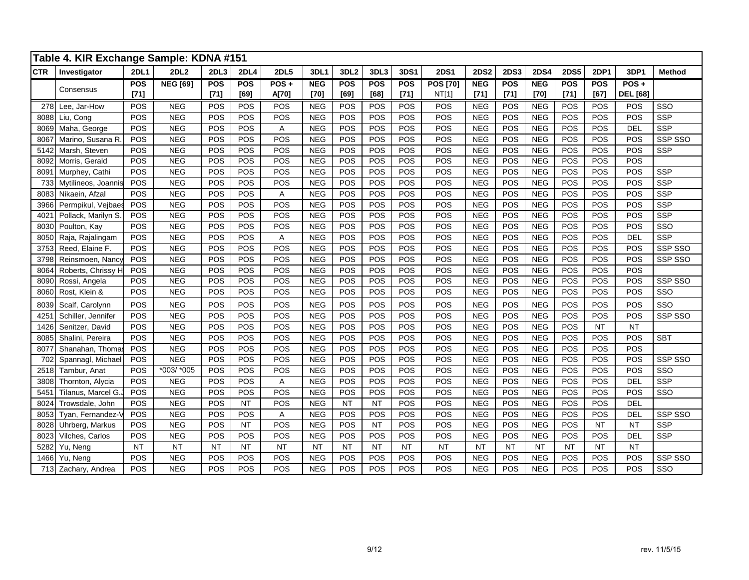|            | Table 4. KIR Exchange Sample: KDNA #151 |             |                 |            |             |             |            |                  |            |           |                 |             |             |             |             |             |                 |               |
|------------|-----------------------------------------|-------------|-----------------|------------|-------------|-------------|------------|------------------|------------|-----------|-----------------|-------------|-------------|-------------|-------------|-------------|-----------------|---------------|
| <b>CTR</b> | Investigator                            | <b>2DL1</b> | <b>2DL2</b>     | 2DL3       | <b>2DL4</b> | <b>2DL5</b> | 3DL1       | 3DL <sub>2</sub> | 3DL3       | 3DS1      | <b>2DS1</b>     | <b>2DS2</b> | <b>2DS3</b> | <b>2DS4</b> | <b>2DS5</b> | <b>2DP1</b> | 3DP1            | <b>Method</b> |
|            |                                         | POS         | <b>NEG [69]</b> | <b>POS</b> | <b>POS</b>  | $POS +$     | <b>NEG</b> | <b>POS</b>       | <b>POS</b> | POS       | <b>POS [70]</b> | <b>NEG</b>  | POS         | <b>NEG</b>  | <b>POS</b>  | <b>POS</b>  | $POS +$         |               |
|            | Consensus                               | $[71]$      |                 | $[71]$     | [69]        | A[70]       | $[70]$     | [69]             | [68]       | $[71]$    | NT[1]           | $[71]$      | $[71]$      | $[70]$      | $[71]$      | [67]        | <b>DEL</b> [68] |               |
| 278        | Lee, Jar-How                            | POS         | <b>NEG</b>      | POS        | POS         | POS         | <b>NEG</b> | POS              | POS        | POS       | <b>POS</b>      | <b>NEG</b>  | POS         | <b>NEG</b>  | POS         | POS         | POS             | SSO           |
| 8088       | Liu, Cong                               | POS         | <b>NEG</b>      | POS        | POS         | POS         | <b>NEG</b> | POS              | POS        | POS       | POS             | <b>NEG</b>  | POS         | <b>NEG</b>  | POS         | POS         | POS             | <b>SSP</b>    |
| 8069       | Maha, George                            | POS         | <b>NEG</b>      | POS        | POS         | A           | <b>NEG</b> | POS              | POS        | POS       | POS             | <b>NEG</b>  | POS         | <b>NEG</b>  | POS         | POS         | <b>DEL</b>      | <b>SSP</b>    |
| 8067       | Marino, Susana R.                       | POS         | <b>NEG</b>      | POS        | POS         | POS         | <b>NEG</b> | POS              | POS        | POS       | POS             | <b>NEG</b>  | POS         | <b>NEG</b>  | POS         | POS         | POS             | SSP SSO       |
| 5142       | Marsh, Steven                           | POS         | <b>NEG</b>      | POS        | POS         | POS         | <b>NEG</b> | POS              | POS        | POS       | POS             | <b>NEG</b>  | POS         | <b>NEG</b>  | POS         | POS         | POS             | SSP           |
| 8092       | Morris, Gerald                          | POS         | <b>NEG</b>      | POS        | POS         | POS         | <b>NEG</b> | POS              | POS        | POS       | POS             | <b>NEG</b>  | POS         | <b>NEG</b>  | POS         | POS         | POS             |               |
| 8091       | Murphey, Cathi                          | POS         | <b>NEG</b>      | POS        | POS         | POS         | <b>NEG</b> | POS              | POS        | POS       | POS             | <b>NEG</b>  | POS         | <b>NEG</b>  | POS         | POS         | POS             | SSP           |
| 733        | Mytilineos, Joannis                     | POS         | <b>NEG</b>      | POS        | POS         | POS         | <b>NEG</b> | POS              | POS        | POS       | POS             | <b>NEG</b>  | POS         | <b>NEG</b>  | POS         | POS         | POS             | SSP           |
| 8083       | Nikaein, Afzal                          | POS         | <b>NEG</b>      | POS        | POS         | А           | <b>NEG</b> | POS              | POS        | POS       | POS             | <b>NEG</b>  | POS         | <b>NEG</b>  | POS         | POS         | POS             | <b>SSP</b>    |
| 3966       | Permpikul, Vejbaes                      | POS         | <b>NEG</b>      | POS        | POS         | POS         | <b>NEG</b> | POS              | POS        | POS       | POS             | <b>NEG</b>  | POS         | ${\sf NEG}$ | POS         | POS         | POS             | <b>SSP</b>    |
| 4021       | Pollack, Marilyn S.                     | POS         | <b>NEG</b>      | POS        | POS         | POS         | <b>NEG</b> | POS              | POS        | POS       | POS             | <b>NEG</b>  | POS         | NEG         | POS         | POS         | POS             | <b>SSP</b>    |
| 8030       | Poulton, Kay                            | POS         | <b>NEG</b>      | POS        | POS         | POS         | <b>NEG</b> | POS              | POS        | POS       | POS             | <b>NEG</b>  | POS         | <b>NEG</b>  | POS         | POS         | POS             | SSO           |
| 8050       | Raja, Rajalingam                        | POS         | <b>NEG</b>      | POS        | POS         | Α           | <b>NEG</b> | POS              | POS        | POS       | POS             | <b>NEG</b>  | POS         | <b>NEG</b>  | POS         | POS         | <b>DEL</b>      | SSP           |
| 3753       | Reed, Elaine F.                         | POS         | <b>NEG</b>      | POS        | POS         | POS         | <b>NEG</b> | POS              | POS        | POS       | POS             | <b>NEG</b>  | POS         | <b>NEG</b>  | POS         | POS         | POS             | SSP SSO       |
| 3798       | Reinsmoen, Nancy                        | POS         | <b>NEG</b>      | POS        | POS         | POS         | <b>NEG</b> | POS              | POS        | POS       | POS             | <b>NEG</b>  | POS         | <b>NEG</b>  | POS         | POS         | POS             | SSP SSO       |
| 8064       | Roberts, Chrissy H                      | POS         | <b>NEG</b>      | POS        | POS         | POS         | <b>NEG</b> | POS              | POS        | POS       | POS             | <b>NEG</b>  | POS         | <b>NEG</b>  | POS         | POS         | POS             |               |
| 8090       | Rossi, Angela                           | POS         | <b>NEG</b>      | POS        | POS         | POS         | <b>NEG</b> | POS              | POS        | POS       | POS             | <b>NEG</b>  | POS         | <b>NEG</b>  | POS         | POS         | POS             | SSP SSO       |
| 8060       | Rost, Klein &                           | POS         | <b>NEG</b>      | POS        | POS         | POS         | <b>NEG</b> | POS              | POS        | POS       | POS             | <b>NEG</b>  | POS         | <b>NEG</b>  | POS         | POS         | POS             | SSO           |
| 8039       | Scalf, Carolynn                         | POS         | <b>NEG</b>      | POS        | POS         | POS         | <b>NEG</b> | POS              | POS        | POS       | POS             | <b>NEG</b>  | POS         | <b>NEG</b>  | POS         | POS         | POS             | SSO           |
| 4251       | Schiller, Jennifer                      | POS         | <b>NEG</b>      | POS        | POS         | POS         | <b>NEG</b> | POS              | POS        | POS       | POS             | <b>NEG</b>  | POS         | <b>NEG</b>  | POS         | POS         | POS             | SSP SSO       |
| 1426       | Senitzer, David                         | POS         | <b>NEG</b>      | POS        | POS         | POS         | <b>NEG</b> | POS              | POS        | POS       | POS             | <b>NEG</b>  | POS         | <b>NEG</b>  | POS         | <b>NT</b>   | <b>NT</b>       |               |
| 8085       | Shalini, Pereira                        | POS         | <b>NEG</b>      | POS        | POS         | POS         | <b>NEG</b> | POS              | POS        | POS       | POS             | <b>NEG</b>  | POS         | <b>NEG</b>  | POS         | POS         | POS             | <b>SBT</b>    |
| 8077       | Shanahan, Thoma                         | POS         | <b>NEG</b>      | POS        | POS         | POS         | <b>NEG</b> | POS              | POS        | POS       | POS             | <b>NEG</b>  | POS         | <b>NEG</b>  | POS         | POS         | POS             |               |
| 702        | Spannagl, Michael                       | POS         | <b>NEG</b>      | POS        | POS         | POS         | <b>NEG</b> | POS              | POS        | POS       | POS             | <b>NEG</b>  | POS         | <b>NEG</b>  | POS         | POS         | POS             | SSP SSO       |
| 2518       | Tambur, Anat                            | POS         | *003/ *005      | POS        | POS         | POS         | <b>NEG</b> | POS              | POS        | POS       | POS             | <b>NEG</b>  | POS         | <b>NEG</b>  | POS         | POS         | POS             | SSO           |
| 3808       | Thornton, Alycia                        | POS         | <b>NEG</b>      | POS        | POS         | Α           | <b>NEG</b> | POS              | POS        | POS       | POS             | <b>NEG</b>  | POS         | <b>NEG</b>  | POS         | POS         | <b>DEL</b>      | <b>SSP</b>    |
| 5451       | Tilanus, Marcel G.                      | POS         | <b>NEG</b>      | POS        | POS         | POS         | <b>NEG</b> | POS              | POS        | POS       | POS             | <b>NEG</b>  | POS         | <b>NEG</b>  | POS         | POS         | POS             | SSO           |
| 8024       | Trowsdale, John                         | POS         | <b>NEG</b>      | POS        | <b>NT</b>   | POS         | <b>NEG</b> | <b>NT</b>        | <b>NT</b>  | POS       | POS             | <b>NEG</b>  | POS         | <b>NEG</b>  | POS         | POS         | <b>DEL</b>      |               |
| 8053       | Tyan, Fernandez-                        | POS         | <b>NEG</b>      | POS        | POS         | Α           | <b>NEG</b> | POS              | POS        | POS       | POS             | <b>NEG</b>  | POS         | <b>NEG</b>  | POS         | POS         | <b>DEL</b>      | SSP SSO       |
| 8028       | Uhrberg, Markus                         | POS         | <b>NEG</b>      | POS        | <b>NT</b>   | POS         | <b>NEG</b> | POS              | <b>NT</b>  | POS       | POS             | <b>NEG</b>  | POS         | <b>NEG</b>  | POS         | <b>NT</b>   | <b>NT</b>       | SSP           |
| 8023       | Vilches, Carlos                         | POS         | <b>NEG</b>      | POS        | POS         | POS         | <b>NEG</b> | POS              | POS        | POS       | POS             | <b>NEG</b>  | POS         | <b>NEG</b>  | POS         | POS         | <b>DEL</b>      | SSP           |
| 5282       | Yu, Neng                                | <b>NT</b>   | <b>NT</b>       | <b>NT</b>  | <b>NT</b>   | <b>NT</b>   | <b>NT</b>  | <b>NT</b>        | <b>NT</b>  | <b>NT</b> | <b>NT</b>       | <b>NT</b>   | <b>NT</b>   | <b>NT</b>   | <b>NT</b>   | <b>NT</b>   | <b>NT</b>       |               |
| 1466       | Yu. Nena                                | POS         | <b>NEG</b>      | POS        | POS         | POS         | <b>NEG</b> | POS              | POS        | POS       | POS             | <b>NEG</b>  | POS         | <b>NEG</b>  | POS         | POS         | POS             | SSP SSO       |
|            | 713 Zachary, Andrea                     | POS         | <b>NEG</b>      | POS        | POS         | POS         | <b>NEG</b> | POS              | POS        | POS       | POS             | <b>NEG</b>  | POS         | <b>NEG</b>  | POS         | POS         | POS             | SSO           |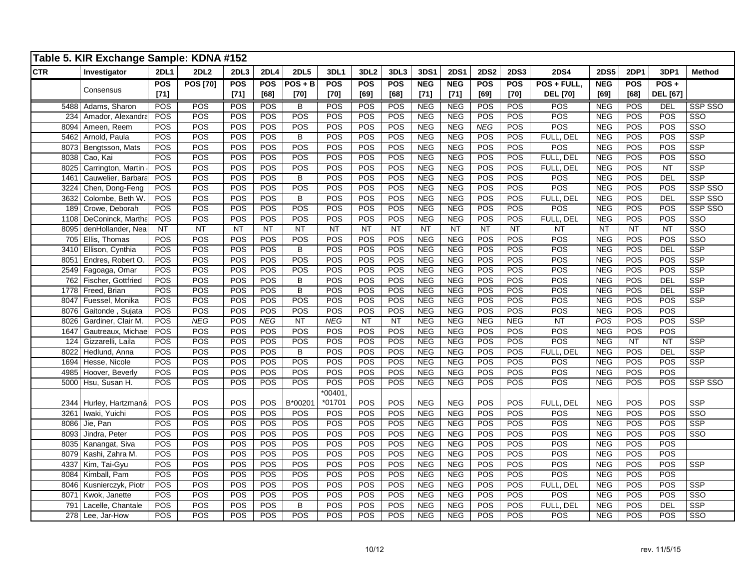|            | Table 5. KIR Exchange Sample: KDNA #152 |             |                        |        |            |                |            |                  |        |            |             |             |             |                 |             |             |                 |                         |
|------------|-----------------------------------------|-------------|------------------------|--------|------------|----------------|------------|------------------|--------|------------|-------------|-------------|-------------|-----------------|-------------|-------------|-----------------|-------------------------|
| <b>CTR</b> | Investigator                            | <b>2DL1</b> | <b>2DL2</b>            | 2DL3   | 2DL4       | <b>2DL5</b>    | 3DL1       | 3DL <sub>2</sub> | 3DL3   | 3DS1       | <b>2DS1</b> | <b>2DS2</b> | <b>2DS3</b> | <b>2DS4</b>     | <b>2DS5</b> | <b>2DP1</b> | 3DP1            | <b>Method</b>           |
|            |                                         | POS         | <b>POS [70]</b>        | POS    | <b>POS</b> | $POS + B$      | POS        | POS              | POS    | <b>NEG</b> | <b>NEG</b>  | <b>POS</b>  | <b>POS</b>  | POS + FULL.     | <b>NEG</b>  | <b>POS</b>  | $POS +$         |                         |
|            | Consensus                               | $[71]$      |                        | $[71]$ | [68]       | $[70]$         | $[70]$     | [69]             | $[68]$ | $[71]$     | $[71]$      | [69]        | $[70]$      | <b>DEL</b> [70] | [69]        | [68]        | <b>DEL</b> [67] |                         |
|            | 5488 Adams, Sharon                      | POS         | POS                    | POS    | POS        | B              | POS        | POS              | POS    | <b>NEG</b> | <b>NEG</b>  | POS         | POS         | POS             | <b>NEG</b>  | POS         | DEL             | SSP SSO                 |
| 234        | Amador, Alexandra                       | POS         | POS                    | POS    | POS        | POS            | POS        | POS              | POS    | NEG        | NEG         | POS         | POS         | POS             | NEG         | POS         | POS             | $\overline{\text{sso}}$ |
| 8094       | Ameen, Reem                             | POS         | POS                    | POS    | POS        | POS            | POS        | POS              | POS    | NEG        | NEG         | NEG         | <b>POS</b>  | POS             | NEG         | POS         | POS             | $\overline{\text{SSO}}$ |
| 5462       | Arnold, Paula                           | POS         | POS                    | POS    | POS        | $\overline{B}$ | POS        | POS              | POS    | <b>NEG</b> | <b>NEG</b>  | POS         | POS         | FULL, DEL       | NEG         | POS         | POS             | <b>SSP</b>              |
| 8073       | Bengtsson, Mats                         | POS         | POS                    | POS    | POS        | POS            | POS        | POS              | POS    | <b>NEG</b> | <b>NEG</b>  | POS         | POS         | POS             | <b>NEG</b>  | POS         | POS             | <b>SSP</b>              |
| 8038       | Cao, Kai                                | POS         | POS                    | POS    | POS        | POS            | POS        | POS              | POS    | NEG        | NEG         | POS         | POS         | FULL, DEL       | NEG         | POS         | POS             | $\overline{\text{SSO}}$ |
| 8025       | Carrington, Martin                      | POS         | POS                    | POS    | POS        | POS            | POS        | POS              | POS    | NEG        | NEG         | POS         | POS         | FULL, DEL       | NEG         | POS         | NT              | <b>SSP</b>              |
| 1461       | Cauwelier, Barbara                      | POS         | POS                    | POS    | <b>POS</b> | B              | POS        | POS              | POS    | <b>NEG</b> | NEG         | POS         | POS         | POS             | <b>NEG</b>  | POS         | <b>DEL</b>      | <b>SSP</b>              |
| 3224       | Chen, Dong-Feng                         | POS         | POS                    | POS    | POS        | POS            | POS        | POS              | POS    | <b>NEG</b> | <b>NEG</b>  | POS         | POS         | POS             | <b>NEG</b>  | POS         | POS             | SSP SSO                 |
| 3632       | Colombe, Beth W                         | POS         | POS                    | POS    | POS        | B              | POS        | POS              | POS    | <b>NEG</b> | <b>NEG</b>  | POS         | POS         | FULL, DEL       | <b>NEG</b>  | POS         | <b>DEL</b>      | SSP SSO                 |
| 189        | Crowe, Deborah                          | POS         | POS                    | POS    | POS        | POS            | POS        | POS              | POS    | NEG        | <b>NEG</b>  | POS         | POS         | POS             | NEG         | POS         | POS             | SSP SSO                 |
| 1108       | DeConinck, Martha                       | POS         | POS                    | POS    | POS        | POS            | POS        | POS              | POS    | NEG        | NEG         | POS         | POS         | FULL, DEL       | NEG         | POS         | POS             | $\overline{\text{SSO}}$ |
| 8095       | denHollander, Neal                      | <b>NT</b>   | $\overline{\text{NT}}$ | NT     | NT         | NT             | NT         | NT               | NT     | NT         | NT          | NT          | NT          | <b>NT</b>       | <b>NT</b>   | <b>NT</b>   | NT              | $\overline{\text{SSO}}$ |
| 705        | Ellis, Thomas                           | POS         | POS                    | POS    | POS        | POS            | POS        | POS              | POS    | NEG        | NEG         | POS         | POS         | POS             | NEG         | POS         | POS             | $\overline{\text{SSO}}$ |
| 3410       | Ellison, Cynthia                        | POS         | POS                    | POS    | POS        | B              | POS        | POS              | POS    | <b>NEG</b> | <b>NEG</b>  | POS         | POS         | POS             | <b>NEG</b>  | POS         | DEL             | <b>SSP</b>              |
| 8051       | Endres, Robert O.                       | POS         | POS                    | POS    | POS        | POS            | POS        | POS              | POS    | NEG        | NEG         | POS         | POS         | POS             | <b>NEG</b>  | POS         | POS             | <b>SSP</b>              |
| 2549       | Fagoaga, Omar                           | POS         | POS                    | POS    | POS        | POS            | POS        | POS              | POS    | NEG        | <b>NEG</b>  | POS         | POS         | POS             | NEG         | POS         | POS             | $\overline{\text{SSP}}$ |
| 762        | Fischer, Gottfried                      | POS         | POS                    | POS    | POS        | B              | POS        | POS              | POS    | <b>NEG</b> | <b>NEG</b>  | POS         | POS         | POS             | <b>NEG</b>  | POS         | <b>DEL</b>      | <b>SSP</b>              |
| 1778       | Freed, Brian                            | POS         | POS                    | POS    | POS        | B              | POS        | POS              | POS    | <b>NEG</b> | <b>NEG</b>  | POS         | POS         | POS             | <b>NEG</b>  | POS         | <b>DEL</b>      | SSP                     |
| 8047       | Fuessel, Monika                         | POS         | POS                    | POS    | POS        | POS            | POS        | POS              | POS    | <b>NEG</b> | <b>NEG</b>  | POS         | POS         | POS             | <b>NEG</b>  | POS         | POS             | <b>SSP</b>              |
| 8076       | Gaitonde, Sujata                        | POS         | POS                    | POS    | POS        | POS            | POS        | POS              | POS    | <b>NEG</b> | <b>NEG</b>  | POS         | POS         | POS             | <b>NEG</b>  | POS         | POS             |                         |
| 8026       | Gardiner, Clair M.                      | POS         | <b>NEG</b>             | POS    | <b>NEG</b> | NT             | <b>NEG</b> | NT               | NT     | NEG        | NEG         | NEG         | NEG         | NT              | POS         | POS         | POS             | <b>SSP</b>              |
| 1647       | Gautreaux, Michae                       | POS         | POS                    | POS    | POS        | POS            | POS        | POS              | POS    | NEG        | <b>NEG</b>  | POS         | POS         | POS             | NEG         | POS         | POS             |                         |
| 124        | Gizzarelli, Laila                       | POS         | POS                    | POS    | POS        | POS            | POS        | POS              | POS    | <b>NEG</b> | <b>NEG</b>  | POS         | POS         | POS             | <b>NEG</b>  | NT          | NT              | <b>SSP</b>              |
| 8022       | Hedlund, Anna                           | POS         | POS                    | POS    | POS        | B              | POS        | POS              | POS    | <b>NEG</b> | <b>NEG</b>  | POS         | POS         | FULL, DEL       | <b>NEG</b>  | POS         | DEL             | <b>SSP</b>              |
| 1694       | Hesse, Nicole                           | POS         | POS                    | POS    | POS        | POS            | POS        | POS              | POS    | <b>NEG</b> | <b>NEG</b>  | POS         | POS         | POS             | <b>NEG</b>  | POS         | POS             | <b>SSP</b>              |
| 4985       | Hoover, Beverly                         | POS         | POS                    | POS    | POS        | POS            | POS        | POS              | POS    | NEG        | NEG         | POS         | POS         | POS             | <b>NEG</b>  | POS         | POS             |                         |
|            | 5000 Hsu, Susan H.                      | POS         | POS                    | POS    | POS        | POS            | POS        | POS              | POS    | <b>NEG</b> | <b>NEG</b>  | POS         | POS         | POS             | <b>NEG</b>  | POS         | POS             | SSP SSO                 |
|            |                                         |             |                        |        |            |                | $*00401,$  |                  |        |            |             |             |             |                 |             |             |                 |                         |
| 2344       | Hurley, Hartzman&                       | POS         | POS                    | POS    | POS        | B*00201        | *01701     | POS              | POS    | <b>NEG</b> | <b>NEG</b>  | POS         | POS         | FULL, DEL       | <b>NEG</b>  | POS         | POS             | SSP                     |
| 3261       | Iwaki, Yuichi                           | POS         | POS                    | POS    | POS        | POS            | POS        | POS              | POS    | <b>NEG</b> | <b>NEG</b>  | POS         | POS         | POS             | <b>NEG</b>  | POS         | POS             | $\overline{\text{SSO}}$ |
| 8086       | Jie, Pan                                | POS         | POS                    | POS    | POS        | POS            | POS        | POS              | POS    | <b>NEG</b> | <b>NEG</b>  | POS         | POS         | POS             | <b>NEG</b>  | POS         | POS             | <b>SSP</b>              |
| 8093       | Jindra, Peter                           | POS         | POS                    | POS    | POS        | POS            | POS        | POS              | POS    | NEG        | NEG         | POS         | POS         | POS             | NEG         | POS         | POS             | SSO                     |
| 8035       | Kanangat, Siva                          | POS         | POS                    | POS    | POS        | POS            | POS        | POS              | POS    | NEG        | <b>NEG</b>  | POS         | POS         | POS             | <b>NEG</b>  | POS         | POS             |                         |
| 8079       | Kashi, Zahra M.                         | POS         | POS                    | POS    | POS        | POS            | POS        | POS              | POS    | NEG        | NEG         | POS         | POS         | POS             | NEG         | POS         | POS             |                         |
| 4337       | Kim, Tai-Gyu                            | POS         | POS                    | POS    | POS        | POS            | POS        | POS              | POS    | <b>NEG</b> | NEG         | POS         | POS         | POS             | <b>NEG</b>  | POS         | POS             | <b>SSP</b>              |
| 8084       | Kimball, Pam                            | POS         | POS                    | POS    | POS        | POS            | POS        | POS              | POS    | <b>NEG</b> | <b>NEG</b>  | POS         | POS         | POS             | <b>NEG</b>  | POS         | POS             |                         |
| 8046       | Kusnierczyk, Piotr                      | POS         | POS                    | POS    | POS        | POS            | POS        | POS              | POS    | <b>NEG</b> | <b>NEG</b>  | POS         | POS         | FULL, DEL       | <b>NEG</b>  | POS         | POS             | <b>SSP</b>              |
| 8071       | Kwok, Janette                           | POS         | POS                    | POS    | POS        | POS            | POS        | POS              | POS    | NEG        | NEG         | POS         | POS         | POS             | NEG         | POS         | POS             | $\overline{\text{SSO}}$ |
| 791        | Lacelle, Chantale                       | POS         | POS                    | POS    | POS        | $\overline{B}$ | POS        | POS              | POS    | NEG        | NEG         | POS         | POS         | FULL, DEL       | NEG         | POS         | DEL             | <b>SSP</b>              |
|            | 278 Lee, Jar-How                        | POS         | POS                    | POS    | POS        | POS            | POS        | POS              | POS    | <b>NEG</b> | <b>NEG</b>  | POS         | POS         | POS             | <b>NEG</b>  | POS         | POS             | $\overline{\text{SSO}}$ |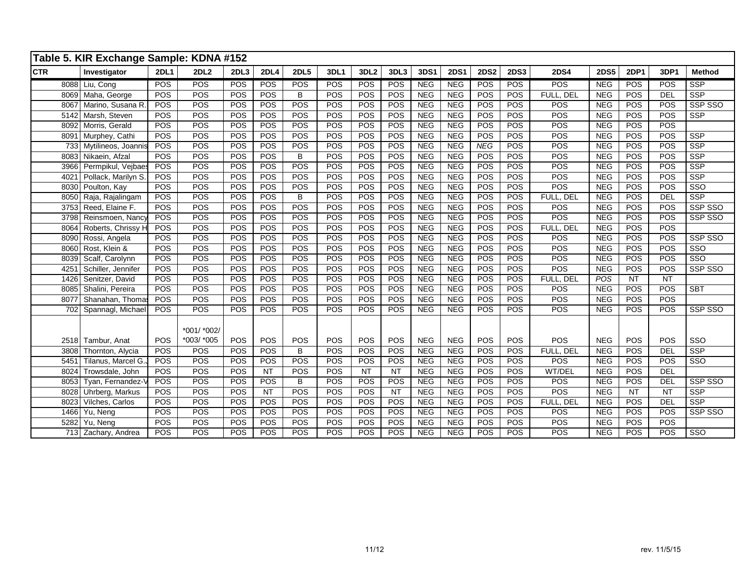|            | Table 5. KIR Exchange Sample: KDNA #152 |             |                           |      |           |             |            |                  |            |            |             |             |             |             |             |           |            |                         |
|------------|-----------------------------------------|-------------|---------------------------|------|-----------|-------------|------------|------------------|------------|------------|-------------|-------------|-------------|-------------|-------------|-----------|------------|-------------------------|
| <b>CTR</b> | Investigator                            | <b>2DL1</b> | 2DL <sub>2</sub>          | 2DL3 | 2DL4      | <b>2DL5</b> | 3DL1       | 3DL <sub>2</sub> | 3DL3       | 3DS1       | <b>2DS1</b> | <b>2DS2</b> | <b>2DS3</b> | <b>2DS4</b> | <b>2DS5</b> | 2DP1      | 3DP1       | <b>Method</b>           |
|            | 8088 Liu, Cong                          | POS         | POS                       | POS  | POS       | POS         | POS        | POS              | POS        | <b>NEG</b> | <b>NEG</b>  | POS         | POS         | <b>POS</b>  | <b>NEG</b>  | POS       | POS        | <b>SSP</b>              |
|            | 8069 Maha, George                       | POS         | POS                       | POS  | POS       | B           | POS        | POS              | POS        | <b>NEG</b> | <b>NEG</b>  | POS         | POS         | FULL, DEL   | <b>NEG</b>  | POS       | <b>DEL</b> | <b>SSP</b>              |
|            | 8067 Marino, Susana R.                  | POS         | POS                       | POS  | POS       | POS         | <b>POS</b> | POS              | <b>POS</b> | <b>NEG</b> | NEG         | POS         | POS         | POS         | <b>NEG</b>  | POS       | POS        | <b>SSP SSO</b>          |
|            | 5142 Marsh, Steven                      | POS         | POS                       | POS  | POS       | POS         | POS        | POS              | POS        | <b>NEG</b> | <b>NEG</b>  | POS         | POS         | POS         | <b>NEG</b>  | POS       | POS        | <b>SSP</b>              |
|            | 8092 Morris, Gerald                     | POS         | POS                       | POS  | POS       | POS         | POS        | POS              | POS        | NEG        | NEG         | POS         | POS         | POS         | <b>NEG</b>  | POS       | POS        |                         |
|            | 8091 Murphey, Cathi                     | POS         | POS                       | POS  | POS       | POS         | POS        | POS              | POS        | <b>NEG</b> | <b>NEG</b>  | POS         | POS         | POS         | <b>NEG</b>  | POS       | POS        | <b>SSP</b>              |
|            | 733 Mytilineos, Joannis                 | POS         | POS                       | POS  | POS       | POS         | POS        | POS              | POS        | NEG        | NEG         | NEG         | POS         | POS         | <b>NEG</b>  | POS       | POS        | $\overline{\text{SSP}}$ |
|            | 8083 Nikaein, Afzal                     | POS         | POS                       | POS  | POS       | $\sf B$     | POS        | POS              | POS        | <b>NEG</b> | NEG         | POS         | POS         | POS         | <b>NEG</b>  | POS       | POS        | <b>SSP</b>              |
|            | 3966 Permpikul, Vejbaes                 | POS         | POS                       | POS  | POS       | POS         | POS        | POS              | POS        | <b>NEG</b> | <b>NEG</b>  | POS         | POS         | POS         | <b>NEG</b>  | POS       | POS        | <b>SSP</b>              |
| 4021       | Pollack, Marilyn S.                     | POS         | POS                       | POS  | POS       | POS         | POS        | POS              | POS        | <b>NEG</b> | NEG         | POS         | POS         | POS         | NEG         | POS       | POS        | <b>SSP</b>              |
|            | 8030 Poulton, Kay                       | POS         | POS                       | POS  | POS       | POS         | POS        | POS              | POS        | <b>NEG</b> | <b>NEG</b>  | POS         | POS         | POS         | <b>NEG</b>  | POS       | POS        | $\overline{\text{SSO}}$ |
| 8050       | Raja, Rajalingam                        | POS         | POS                       | POS  | POS       | $\sf B$     | POS        | POS              | POS        | NEG        | NEG         | POS         | POS         | FULL, DEL   | <b>NEG</b>  | POS       | DEL        | $\overline{\text{SSP}}$ |
| 3753       | Reed, Elaine F.                         | POS         | POS                       | POS  | POS       | POS         | POS        | POS              | POS        | <b>NEG</b> | NEG         | POS         | POS         | POS         | <b>NEG</b>  | POS       | POS        | SSP SSO                 |
| 3798       | Reinsmoen, Nancy                        | POS         | POS                       | POS  | POS       | POS         | POS        | POS              | POS        | <b>NEG</b> | <b>NEG</b>  | POS         | POS         | POS         | <b>NEG</b>  | POS       | POS        | SSP SSO                 |
| 8064       | Roberts, Chrissy H                      | POS         | POS                       | POS  | POS       | POS         | POS        | POS              | POS        | <b>NEG</b> | <b>NEG</b>  | POS         | POS         | FULL, DEL   | <b>NEG</b>  | POS       | POS        |                         |
| 8090       | Rossi, Angela                           | POS         | POS                       | POS  | POS       | POS         | POS        | POS              | POS        | NEG        | NEG         | POS         | POS         | POS         | NEG         | POS       | POS        | SSP SSO                 |
| 8060       | Rost, Klein &                           | POS         | POS                       | POS  | POS       | POS         | POS        | POS              | POS        | NEG        | NEG         | POS         | POS         | POS         | NEG         | POS       | POS        | $\overline{\text{SSO}}$ |
| 8039       | Scalf, Carolynn                         | POS         | POS                       | POS  | POS       | POS         | POS        | POS              | POS        | <b>NEG</b> | <b>NEG</b>  | POS         | POS         | POS         | <b>NEG</b>  | POS       | POS        | $\overline{\text{SSO}}$ |
| 4251       | Schiller. Jennifer                      | POS         | POS                       | POS  | POS       | POS         | POS        | POS              | POS        | <b>NEG</b> | <b>NEG</b>  | POS         | POS         | POS         | <b>NEG</b>  | POS       | POS        | SSP SSO                 |
| 1426       | Senitzer, David                         | POS         | POS                       | POS  | POS       | POS         | POS        | POS              | POS        | NEG        | NEG         | POS         | POS         | FULL, DEL   | POS         | <b>NT</b> | <b>NT</b>  |                         |
|            | 8085 Shalini, Pereira                   | POS         | POS                       | POS  | POS       | POS         | POS        | POS              | POS        | NEG        | NEG         | POS         | POS         | POS         | <b>NEG</b>  | POS       | POS        | <b>SBT</b>              |
| 8077       | Shanahan, Thomas                        | POS         | POS                       | POS  | POS       | POS         | POS        | POS              | POS        | <b>NEG</b> | <b>NEG</b>  | POS         | POS         | POS         | <b>NEG</b>  | POS       | POS        |                         |
|            | 702 Spannagl, Michael                   | POS         | POS                       | POS  | POS       | POS         | <b>POS</b> | POS              | POS        | <b>NEG</b> | <b>NEG</b>  | POS         | POS         | <b>POS</b>  | <b>NEG</b>  | POS       | POS        | SSP SSO                 |
|            | 2518 Tambur, Anat                       | POS         | *001/ *002/<br>*003/ *005 | POS  | POS       | POS         | POS        | POS              | POS        | <b>NEG</b> | <b>NEG</b>  | POS         | POS         | <b>POS</b>  | <b>NEG</b>  | POS       | POS        | SSO                     |
| 3808       | Thornton, Alycia                        | POS         | POS                       | POS  | POS       | B           | POS        | POS              | POS        | <b>NEG</b> | <b>NEG</b>  | POS         | POS         | FULL, DEL   | <b>NEG</b>  | POS       | DEL        | <b>SSP</b>              |
| 5451       | Tilanus, Marcel G.,                     | POS         | POS                       | POS  | POS       | POS         | POS        | POS              | POS        | <b>NEG</b> | <b>NEG</b>  | POS         | POS         | POS         | <b>NEG</b>  | POS       | POS        | $\overline{\text{SSO}}$ |
| 8024       | Trowsdale, John                         | POS         | POS                       | POS  | <b>NT</b> | POS         | POS        | <b>NT</b>        | <b>NT</b>  | <b>NEG</b> | <b>NEG</b>  | POS         | POS         | WT/DEL      | <b>NEG</b>  | POS       | <b>DEL</b> |                         |
| 8053       | Tyan, Fernandez-V                       | POS         | POS                       | POS  | POS       | B           | POS        | POS              | POS        | NEG        | <b>NEG</b>  | POS         | POS         | POS         | <b>NEG</b>  | POS       | <b>DEL</b> | SSP SSO                 |
| 8028       | Uhrberg, Markus                         | POS         | POS                       | POS  | NT        | POS         | POS        | POS              | NT         | NEG        | NEG         | POS         | POS         | <b>POS</b>  | NEG         | NT        | NT         | <b>SSP</b>              |
| 8023       | Vilches, Carlos                         | POS         | POS                       | POS  | POS       | POS         | POS        | POS              | POS        | <b>NEG</b> | <b>NEG</b>  | POS         | POS         | FULL, DEL   | <b>NEG</b>  | POS       | <b>DEL</b> | <b>SSP</b>              |
| 1466       | Yu, Neng                                | POS         | POS                       | POS  | POS       | POS         | POS        | POS              | POS        | <b>NEG</b> | <b>NEG</b>  | POS         | POS         | POS         | <b>NEG</b>  | POS       | POS        | SSP SSO                 |
| 5282       | Yu, Neng                                | POS         | POS                       | POS  | POS       | POS         | POS        | POS              | POS        | <b>NEG</b> | <b>NEG</b>  | POS         | POS         | POS         | <b>NEG</b>  | POS       | POS        |                         |
|            | 713 Zachary, Andrea                     | POS         | POS                       | POS  | POS       | POS         | POS        | POS              | POS        | NEG        | NEG         | POS         | POS         | POS         | <b>NEG</b>  | POS       | POS        | $\overline{\text{SSO}}$ |